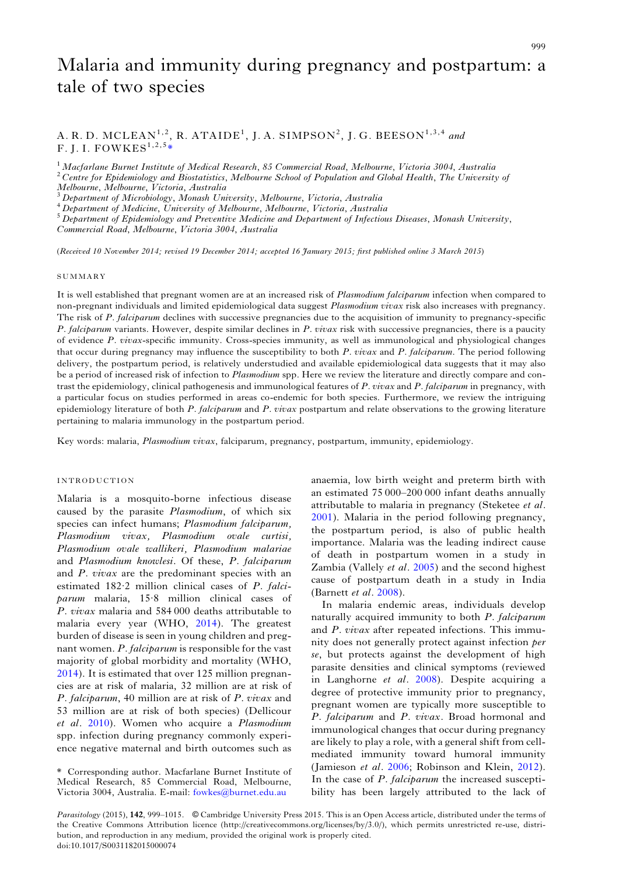# Malaria and immunity during pregnancy and postpartum: a tale of two species

# A. R. D. MCLEAN<sup>1,2</sup>, R. ATAIDE<sup>1</sup>, J. A. SIMPSON<sup>2</sup>, J. G. BEESON<sup>1,3,4</sup> and F. J. I. FOWKES<sup>1,2,5\*</sup>

<sup>1</sup> Macfarlane Burnet Institute of Medical Research, 85 Commercial Road, Melbourne, Victoria 3004, Australia <sup>2</sup> Centre for Epidemiology and Biostatistics, Melbourne School of Population and Global Health, The University

 $^3$  Department of Microbiology, Monash University, Melbourne, Victoria, Australia<br> $^4$  Department of Medicine, University of Melbourne, Melbourne, Victoria, Australia<br> $^5$  Department of Epidemiology and Preventive Medici

Commercial Road, Melbourne, Victoria 3004, Australia

(Received 10 November 2014; revised 19 December 2014; accepted 16 January 2015; first published online 3 March 2015)

#### SUMMARY

It is well established that pregnant women are at an increased risk of Plasmodium falciparum infection when compared to non-pregnant individuals and limited epidemiological data suggest *Plasmodium vivax* risk also increases with pregnancy. The risk of P. falciparum declines with successive pregnancies due to the acquisition of immunity to pregnancy-specific P. falciparum variants. However, despite similar declines in P. vivax risk with successive pregnancies, there is a paucity of evidence P. vivax-specific immunity. Cross-species immunity, as well as immunological and physiological changes that occur during pregnancy may influence the susceptibility to both P. vivax and P. falciparum. The period following delivery, the postpartum period, is relatively understudied and available epidemiological data suggests that it may also be a period of increased risk of infection to Plasmodium spp. Here we review the literature and directly compare and contrast the epidemiology, clinical pathogenesis and immunological features of P. vivax and P. falciparum in pregnancy, with a particular focus on studies performed in areas co-endemic for both species. Furthermore, we review the intriguing epidemiology literature of both  $P$ . falciparum and  $P$ . vivax postpartum and relate observations to the growing literature pertaining to malaria immunology in the postpartum period.

Key words: malaria, Plasmodium vivax, falciparum, pregnancy, postpartum, immunity, epidemiology.

## INTRODUCTION

Malaria is a mosquito-borne infectious disease caused by the parasite Plasmodium, of which six species can infect humans; Plasmodium falciparum, Plasmodium vivax, Plasmodium ovale curtisi, Plasmodium ovale wallikeri, Plasmodium malariae and Plasmodium knowlesi. Of these, P. falciparum and P. vivax are the predominant species with an estimated 182·2 million clinical cases of P. falciparum malaria, 15·8 million clinical cases of P. vivax malaria and 584 000 deaths attributable to malaria every year (WHO, [2014\)](#page-16-0). The greatest burden of disease is seen in young children and pregnant women. P. falciparum is responsible for the vast majority of global morbidity and mortality (WHO, [2014\)](#page-16-0). It is estimated that over 125 million pregnancies are at risk of malaria, 32 million are at risk of P. falciparum, 40 million are at risk of P. vivax and 53 million are at risk of both species) (Dellicour et al. [2010](#page-13-0)). Women who acquire a Plasmodium spp. infection during pregnancy commonly experience negative maternal and birth outcomes such as anaemia, low birth weight and preterm birth with an estimated 75 000–200 000 infant deaths annually attributable to malaria in pregnancy (Steketee et al. [2001](#page-16-0)). Malaria in the period following pregnancy, the postpartum period, is also of public health importance. Malaria was the leading indirect cause of death in postpartum women in a study in Zambia (Vallely et al. [2005](#page-16-0)) and the second highest cause of postpartum death in a study in India (Barnett et al. [2008\)](#page-12-0).

In malaria endemic areas, individuals develop naturally acquired immunity to both P. falciparum and P. vivax after repeated infections. This immunity does not generally protect against infection per se, but protects against the development of high parasite densities and clinical symptoms (reviewed in Langhorne et al. [2008](#page-14-0)). Despite acquiring a degree of protective immunity prior to pregnancy, pregnant women are typically more susceptible to P. falciparum and P. vivax. Broad hormonal and immunological changes that occur during pregnancy are likely to play a role, with a general shift from cellmediated immunity toward humoral immunity (Jamieson et al. [2006;](#page-14-0) Robinson and Klein, [2012\)](#page-15-0). In the case of P. falciparum the increased susceptibility has been largely attributed to the lack of

Parasitology (2015), 142, 999–1015. © Cambridge University Press 2015. This is an Open Access article, distributed under the terms of the Creative Commons Attribution licence (http://creativecommons.org/licenses/by/3.0/), which permits unrestricted re-use, distribution, and reproduction in any medium, provided the original work is properly cited. doi:10.1017/S0031182015000074

<sup>\*</sup> Corresponding author. Macfarlane Burnet Institute of Medical Research, 85 Commercial Road, Melbourne, Victoria 3004, Australia. E-mail: [fowkes@burnet.edu.au](mailto:fowkes@burnet.edu.au)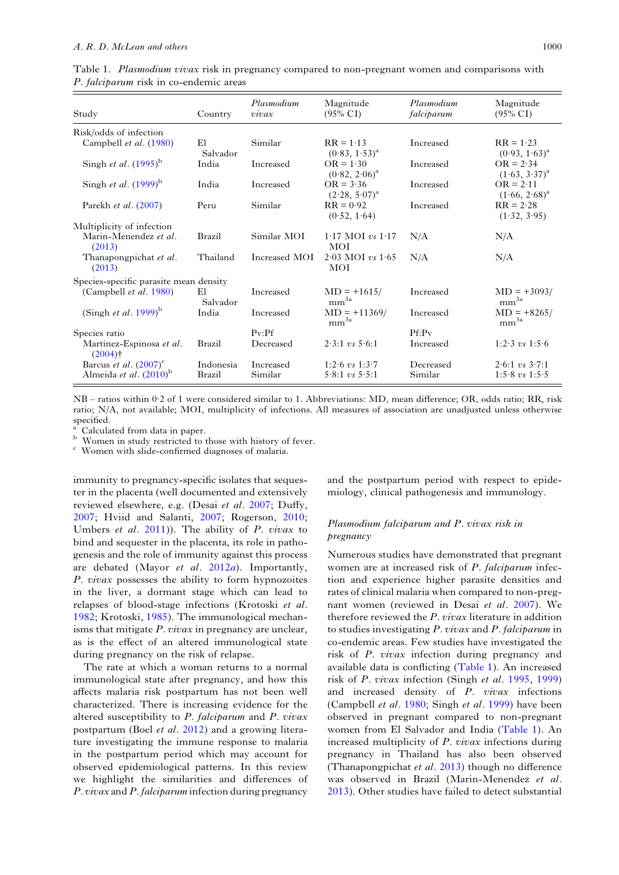<span id="page-1-0"></span>Table 1. Plasmodium vivax risk in pregnancy compared to non-pregnant women and comparisons with P. falciparum risk in co-endemic areas

| Study                                   | Country        | Plasmodium<br>$\overline{v}$ <i>i</i> $\overline{v}$ <i>ax</i> | Magnitude<br>$(95\% \text{ CI})$              | Plasmodium<br>falciparum | Magnitude<br>$(95\% \text{ CI})$             |
|-----------------------------------------|----------------|----------------------------------------------------------------|-----------------------------------------------|--------------------------|----------------------------------------------|
| Risk/odds of infection                  |                |                                                                |                                               |                          |                                              |
| Campbell et al. (1980)                  | Εl<br>Salvador | Similar                                                        | $RR = 1.13$<br>$(0.83, 1.53)^{a}$             | Increased                | $RR = 1.23$<br>$(0.93, 1.63)^{a}$            |
| Singh <i>et al.</i> $(1995)^{b}$        | India          | Increased                                                      | $OR = 1.30$<br>$(0.82, 2.06)^a$               | Increased                | $OR = 2.34$<br>$(1.63, 3.37)^a$              |
| Singh et al. $(1999)^{b}$               | India          | Increased                                                      | $OR = 3.36$<br>$(2.28, 5.07)^{a}$             | Increased                | $OR = 2.11$<br>$(1.66, 2.68)^a$              |
| Parekh <i>et al.</i> $(2007)$           | Peru           | Similar                                                        | $RR = 0.92$<br>(0.52, 1.64)                   | Increased                | $RR = 2.28$<br>(1.32, 3.95)                  |
| Multiplicity of infection               |                |                                                                |                                               |                          |                                              |
| Marin-Menendez et al.<br>(2013)         | <b>Brazil</b>  | Similar MOI                                                    | $1.17 \text{ MOI } vs \ 1.17$<br><b>MOI</b>   | N/A                      | N/A                                          |
| Thanapongpichat et al.<br>(2013)        | Thailand       | Increased MOI                                                  | $2.03 \text{ MOI } vs 1.65$<br>MOI            | N/A                      | N/A                                          |
| Species-specific parasite mean density  |                |                                                                |                                               |                          |                                              |
| (Campbell <i>et al.</i> 1980)           | El<br>Salvador | Increased                                                      | $MD = +1615/$<br>$\mathrm{mm}^{3\mathrm{a}}$  | Increased                | $MD = +3093/$<br>$\mathrm{mm}^{3\mathrm{a}}$ |
| (Singh <i>et al.</i> 1999) <sup>b</sup> | India          | Increased                                                      | $MD = +11369/$<br>$\mathrm{mm}^{3\mathrm{a}}$ | Increased                | $MD = +8265/$<br>$\mathrm{mm}^{3\mathrm{a}}$ |
| Species ratio                           |                | $P_V \cdot Pf$                                                 |                                               | Pf:Py                    |                                              |
| Martinez-Espinosa et al.<br>$(2004)$ †  | Brazil         | Decreased                                                      | $2 \cdot 3:1$ vs $5 \cdot 6:1$                | Increased                | $1:2.3 \text{ vs } 1:5.6$                    |
| Barcus et al. $(2007)^{\circ}$          | Indonesia      | Increased                                                      | $1:2.6$ vs $1:3.7$                            | Decreased                | $2.6:1$ vs $3.7:1$                           |
| Almeida et al. $(2010)^{6}$             | Brazil         | Similar                                                        | $5.8:1$ vs $5.5:1$                            | Similar                  | $1:5.8 \text{ vs } 1:5.5$                    |

NB – ratios within 0·2 of 1 were considered similar to 1. Abbreviations: MD, mean difference; OR, odds ratio; RR, risk ratio; N/A, not available; MOI, multiplicity of infections. All measures of association are unadjusted unless otherwise specified.<br>
<sup>a</sup> Calculated from data in paper.<br>
<sup>b</sup> Women in study restricted to those with history of fever.<br>
<sup>c</sup> Women with slide-confirmed diagnoses of malaria.

immunity to pregnancy-specific isolates that sequester in the placenta (well documented and extensively reviewed elsewhere, e.g. (Desai et al. [2007](#page-13-0); Duffy, [2007](#page-13-0); Hviid and Salanti, [2007](#page-14-0); Rogerson, [2010;](#page-15-0) Umbers et al. [2011\)](#page-16-0)). The ability of P. vivax to bind and sequester in the placenta, its role in pathogenesis and the role of immunity against this process are debated (Mayor *et al.* [2012](#page-14-0)*a*). Importantly, P. vivax possesses the ability to form hypnozoites in the liver, a dormant stage which can lead to relapses of blood-stage infections (Krotoski et al. [1982](#page-14-0); Krotoski, [1985](#page-14-0)). The immunological mechanisms that mitigate  $P$ . *vivax* in pregnancy are unclear, as is the effect of an altered immunological state during pregnancy on the risk of relapse.

The rate at which a woman returns to a normal immunological state after pregnancy, and how this affects malaria risk postpartum has not been well characterized. There is increasing evidence for the altered susceptibility to  $P.$  falciparum and  $P.$  vivax postpartum (Boel et al. [2012](#page-12-0)) and a growing literature investigating the immune response to malaria in the postpartum period which may account for observed epidemiological patterns. In this review we highlight the similarities and differences of P. vivax and P. falciparum infection during pregnancy

and the postpartum period with respect to epidemiology, clinical pathogenesis and immunology.

# Plasmodium falciparum and P. vivax risk in pregnancy

Numerous studies have demonstrated that pregnant women are at increased risk of P. falciparum infection and experience higher parasite densities and rates of clinical malaria when compared to non-pregnant women (reviewed in Desai et al. [2007\)](#page-13-0). We therefore reviewed the  $P.$  vivax literature in addition to studies investigating  $P$ . vivax and  $P$ . falciparum in co-endemic areas. Few studies have investigated the risk of P. vivax infection during pregnancy and available data is conflicting (Table 1). An increased risk of P. vivax infection (Singh et al. [1995,](#page-15-0) [1999](#page-15-0)) and increased density of P. vivax infections (Campbell *et al.* [1980;](#page-13-0) Singh *et al.* [1999](#page-15-0)) have been observed in pregnant compared to non-pregnant women from El Salvador and India (Table 1). An increased multiplicity of P. vivax infections during pregnancy in Thailand has also been observed (Thanapongpichat et al. [2013\)](#page-16-0) though no difference was observed in Brazil (Marin-Menendez et al. [2013\)](#page-14-0). Other studies have failed to detect substantial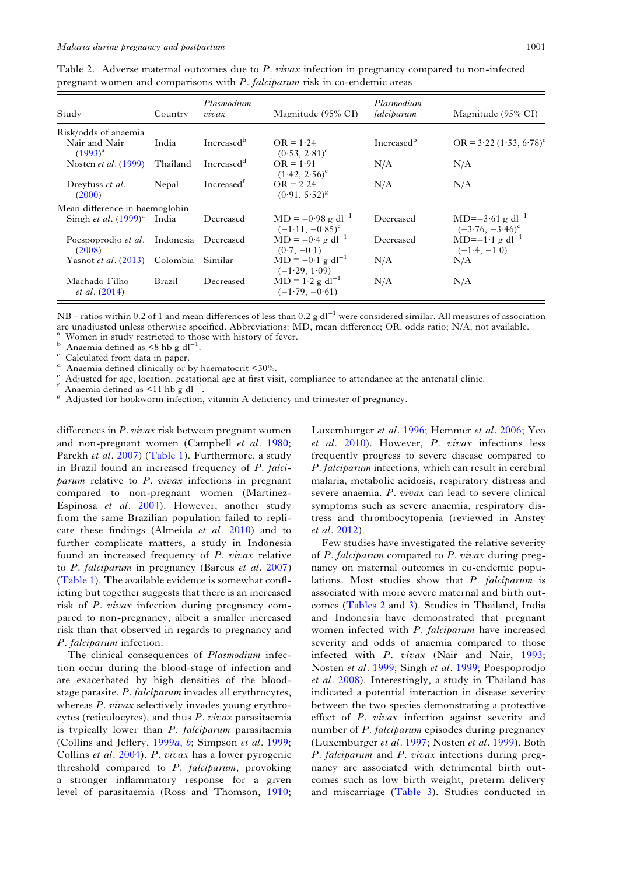Table 2. Adverse maternal outcomes due to P. vivax infection in pregnancy compared to non-infected pregnant women and comparisons with P. falciparum risk in co-endemic areas

| Study                                   | Country  | Plasmodium<br>$\dot{v}$ ivax | Magnitude (95% CI)                                    | Plasmodium<br>falciparum | Magnitude (95% CI)                                         |
|-----------------------------------------|----------|------------------------------|-------------------------------------------------------|--------------------------|------------------------------------------------------------|
| Risk/odds of anaemia                    |          |                              |                                                       |                          |                                                            |
| Nair and Nair<br>$(1993)^{a}$           | India    | Increased <sup>b</sup>       | $OR = 1.24$<br>$(0.53, 2.81)^c$                       | Increased <sup>b</sup>   | $OR = 3.22 (1.53, 6.78)^c$                                 |
| Nosten <i>et al.</i> (1999)             | Thailand | Increased <sup>d</sup>       | $OR = 1.91$<br>$(1.42, 2.56)^e$                       | N/A                      | N/A                                                        |
| Dreyfuss et al.<br>(2000)               | Nepal    | Increased <sup>t</sup>       | $OR = 2.24$<br>$(0.91, 5.52)^{g}$                     | N/A                      | N/A                                                        |
| Mean difference in haemoglobin          |          |                              |                                                       |                          |                                                            |
| Singh <i>et al.</i> $(1999)^{a}$ India  |          | Decreased                    | $MD = -0.98$ g dl <sup>-1</sup><br>$(-1.11, -0.85)^c$ | Decreased                | MD= $-3.61$ g dl <sup>-1</sup><br>$(-3.76, -3.46)^{\circ}$ |
| Poespoprodjo et al. Indonesia<br>(2008) |          | Decreased                    | $MD = -0.4 g d l^{-1}$<br>$(0.7, -0.1)$               | Decreased                | $MD=-1.1$ g dl <sup>-1</sup><br>$(-1.4, -1.0)$             |
| Yasnot et al. (2013) Colombia           |          | Similar                      | $MD = -0.1$ g dl <sup>-1</sup><br>$(-1.29, 1.09)$     | N/A                      | N/A                                                        |
| Machado Filho<br><i>et al.</i> (2014)   | Brazil   | Decreased                    | $MD = 1.2 g dl^{-1}$<br>$(-1.79, -0.61)$              | N/A                      | N/A                                                        |

NB – ratios within 0.2 of 1 and mean differences of less than 0.2 g dl<sup>−1</sup> were considered similar. All measures of association are unadjusted unless otherwise specified. Abbreviations: MD, mean difference; OR, odds ratio; N/A, not available. a Women in study restricted to those with history of fever. b Anaemia defined as  $\leq 8$  hb g dl<sup>−1</sup>.

<sup>c</sup> Calculated from data in paper.<br>
<sup>d</sup> Anaemia defined clinically or by haematocrit <30%.<br>
<sup>e</sup> Adjusted for age, location, gestational age at first visit, compliance to attendance at the antenatal clinic.<br>
<sup>f</sup> Anaemia de

 $8$  Adjusted for hookworm infection, vitamin A deficiency and trimester of pregnancy.

differences in P. vivax risk between pregnant women and non-pregnant women (Campbell et al. [1980](#page-13-0); Parekh et al. [2007](#page-15-0)) [\(Table 1\)](#page-1-0). Furthermore, a study in Brazil found an increased frequency of P. falciparum relative to P. vivax infections in pregnant compared to non-pregnant women (Martinez-Espinosa et al. [2004\)](#page-14-0). However, another study from the same Brazilian population failed to replicate these findings (Almeida et al. [2010](#page-12-0)) and to further complicate matters, a study in Indonesia found an increased frequency of P. vivax relative to P. falciparum in pregnancy (Barcus et al. [2007\)](#page-12-0) [\(Table 1](#page-1-0)). The available evidence is somewhat conflicting but together suggests that there is an increased risk of P. vivax infection during pregnancy compared to non-pregnancy, albeit a smaller increased risk than that observed in regards to pregnancy and P. falciparum infection.

The clinical consequences of *Plasmodium* infection occur during the blood-stage of infection and are exacerbated by high densities of the bloodstage parasite. P. falciparum invades all erythrocytes, whereas P. vivax selectively invades young erythrocytes (reticulocytes), and thus P. vivax parasitaemia is typically lower than P. falciparum parasitaemia (Collins and Jeffery, [1999](#page-13-0)a, [b](#page-13-0); Simpson et al. [1999](#page-15-0); Collins et al. [2004](#page-13-0)). P. vivax has a lower pyrogenic threshold compared to P. falciparum, provoking a stronger inflammatory response for a given level of parasitaemia (Ross and Thomson, [1910](#page-15-0); Luxemburger et al. [1996](#page-14-0); Hemmer et al. [2006;](#page-14-0) Yeo et al. [2010\)](#page-16-0). However, P. vivax infections less frequently progress to severe disease compared to P. falciparum infections, which can result in cerebral malaria, metabolic acidosis, respiratory distress and severe anaemia. P. vivax can lead to severe clinical symptoms such as severe anaemia, respiratory distress and thrombocytopenia (reviewed in Anstey et al. [2012\)](#page-12-0).

Few studies have investigated the relative severity of  $P$ . falciparum compared to  $P$ . vivax during pregnancy on maternal outcomes in co-endemic populations. Most studies show that P. falciparum is associated with more severe maternal and birth outcomes (Tables 2 and [3](#page-3-0)). Studies in Thailand, India and Indonesia have demonstrated that pregnant women infected with P. falciparum have increased severity and odds of anaemia compared to those infected with P. vivax (Nair and Nair, [1993](#page-15-0); Nosten et al. [1999](#page-15-0); Singh et al. [1999](#page-15-0); Poespoprodjo et al. [2008](#page-15-0)). Interestingly, a study in Thailand has indicated a potential interaction in disease severity between the two species demonstrating a protective effect of P. vivax infection against severity and number of P. falciparum episodes during pregnancy (Luxemburger et al. [1997;](#page-14-0) Nosten et al. [1999\)](#page-15-0). Both P. falciparum and P. vivax infections during pregnancy are associated with detrimental birth outcomes such as low birth weight, preterm delivery and miscarriage [\(Table 3\)](#page-3-0). Studies conducted in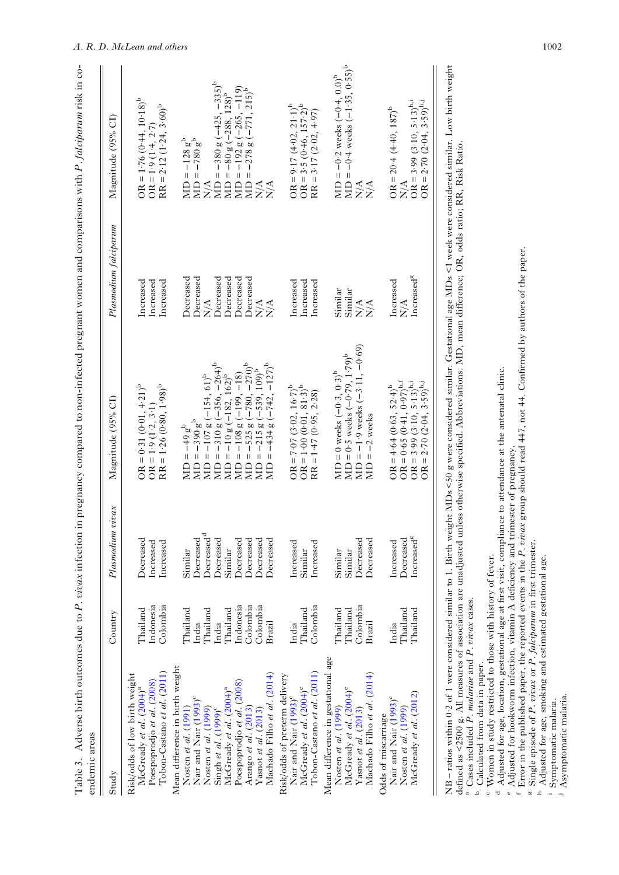<span id="page-3-0"></span>

| , in pregnancy compared to non-intected pregnant women and comparence $\frac{1}{2}d^4$<br>;<br>;<br> <br> <br> <br> <br>ֺ֧֧֧֧֪֧֧֧֧֦֧֧֧֚֚֚֚֚֚֚֚֚֚֚֚֚֚֚֝֓֕֓֕֝֓֝֓֝֓֟֓֝֬֝֟֝֓֝֬֝֬֝֝֬֝֝<br>֧֪֦֧֪֛֪֪֪֛֪֪֪֧֧֦֧֦֧֦֧֦֧֦֧֦֧֝֝֝֝֩֩֩<br>į<br>.<br>.<br>.<br>.<br>ׇׅ֚֘֝֬<br>ITTION Committee in the<br>ׇ֚֬֡<br>י<br>י<br>j<br>I |  |
|-------------------------------------------------------------------------------------------------------------------------------------------------------------------------------------------------------------------------------------------------------------------------------------------------------------------|--|
| l                                                                                                                                                                                                                                                                                                                 |  |

| Study                                                               | Country         | Plasmodium vivax       | Magnitude (95% CI)                                                                                                                                                                                         | Plasmodium falciparum                             | Magnitude (95% CI)                                                      |
|---------------------------------------------------------------------|-----------------|------------------------|------------------------------------------------------------------------------------------------------------------------------------------------------------------------------------------------------------|---------------------------------------------------|-------------------------------------------------------------------------|
| Risk/odds of low birth weight<br>$\text{McGreedy et al. } (2004)^a$ | Thailand        | Decreased              | OR = $0.31(0.01, 4.21)^b$                                                                                                                                                                                  | Increased                                         | $OR = 1.76 (0.44, 10.18)^b$                                             |
| Poespoprodjo et al. (2008)                                          | Indonesia       | Increased              | $OR = 1.9 (1.2, 3.1)$<br>$RR = 1.26 (0.80, 1.98)$ <sup>b</sup>                                                                                                                                             | Increased                                         | $OR = 1.9 (1.4, 2.7)$<br>$RR = 2.12 (1.24, 3.60)^b$                     |
| Tobon-Castano et al. (2011)                                         | Colombia        | Increased              |                                                                                                                                                                                                            | Increased                                         |                                                                         |
| Mean difference in birth weight                                     |                 |                        |                                                                                                                                                                                                            |                                                   |                                                                         |
| Nosten et al. $(1991)$                                              | <b>Thailand</b> | Similar                | $= -49 gb$<br>$\Xi$                                                                                                                                                                                        | Decreased                                         | $MD = -128 gib$                                                         |
| Nair and Nair (1993) <sup>c</sup>                                   | India           | Decreased              | $= -390 gb$<br>$\Xi$                                                                                                                                                                                       | Decreased                                         | $MD = -780 gb$                                                          |
| Nosten et al. (1999)                                                | Thailand        | Decreased <sup>d</sup> | $\mathsf{II}$<br>$\Xi$                                                                                                                                                                                     | $\mathop{\rm N}\nolimits_\Lambda$                 | $\sum_{i=1}^{n}$                                                        |
| Singh et al. (1999) <sup>c</sup>                                    | India           | Decreased              | $-107$ g $(-154, 61)$ <sup>b</sup><br>-310 g $(-356, -264)$ <sup>b</sup><br>$\bar{\Pi}$<br>$\Xi$                                                                                                           | $\rm Decreased$                                   | $-335)$ <sup>b</sup><br>$= -380$ g ( $-425$ ,<br>$\overline{CD}$        |
| McGready et al. (2004) <sup>a</sup>                                 | Thailand        | Similar                | $\mathbf{  }$<br>$\Xi$                                                                                                                                                                                     | Decreased                                         | MD = -80 g $(-288, 128)^{b}$<br>MD = -192 g (-265, -119)                |
| Poespoprodjo et al. (2008)                                          | Indonesia       | Decreased              | $\bar{\Pi}$<br>$\Xi$                                                                                                                                                                                       | Decreased                                         |                                                                         |
| Arango et al. (2013)                                                | Colombia        | Decreased              | $\bar{\rm H}$<br>Ê                                                                                                                                                                                         | Decreased                                         | $=-278$ g $(-771, 215)^{6}$<br>$\overline{BD}$                          |
| Yasnot et al. $(2013)$                                              | Colombia        | Decreased              | = -10 g (-182, 162) <sup>6</sup><br>= -108 g (-199, -18)<br>= -525 g (-780, -270) <sup>b</sup><br>= -215 g (-539, 109) <sup>b</sup><br>$\bar{\Pi}$<br>Э                                                    | N/A                                               | $\frac{A}{N}$                                                           |
| Machado Filho et al. (2014)                                         | Brazil          | Decreased              | $-434$ g $(-742, -127)^b$<br>$\mathbf{  }$<br>ЯD                                                                                                                                                           | $\sum_{i=1}^{n}$                                  | $\sum_{i=1}^{n}$                                                        |
| Risk/odds of preterm delivery                                       |                 |                        |                                                                                                                                                                                                            |                                                   |                                                                         |
| Nair and Nair (1993) <sup>c</sup>                                   | India           | Increased              | $\begin{array}{c} \mathrm{OR} = 7 \cdot 07 \ (3 \cdot 02, \ 16 \cdot 7)^b \\ \mathrm{OR} = 1 \cdot 00 \ (0 \cdot 01, \ 81 \cdot 3)^b \\ \mathrm{RR} = 1 \cdot 47 \ (0 \cdot 95, \ 2 \cdot 28) \end{array}$ | Increased                                         | $OR = 9.17 (4.02, 21.1)^b$                                              |
| McGready et al. (2004) <sup>e</sup>                                 | Thailand        | Similar                |                                                                                                                                                                                                            | Increased                                         | $OR = 3.5 (0.46, 157.2)^b$<br>RR = 3.17 (2.02, 4.97)                    |
| Tobon-Castano et al. (2011)                                         | Colombia        | Increased              |                                                                                                                                                                                                            | Increased                                         |                                                                         |
| Mean difference in gestational age                                  |                 |                        |                                                                                                                                                                                                            |                                                   |                                                                         |
| Nosten et al. (1999)                                                | Thailand        | Similar                | $MD = 0$ weeks $(-0.3, 0.3)^b$                                                                                                                                                                             | Similar                                           | MD = -0.2 weeks $(-0.4, 0.0)^b$<br>MD = -0.4 weeks $(-1.35, 0.55)^b$    |
| McGready et al. (2004) <sup>e</sup>                                 | Thailand        | Similar                | $MD = 0.5$ weeks $(-0.79, 1.79)^b$                                                                                                                                                                         | Similar                                           |                                                                         |
| Yasnot et al. $(2013)$                                              | Colombia        | Decreased              | MD = $-1.9$ weeks $(-3.11, -0.69)$                                                                                                                                                                         | $\mathop{\rm N}\nolimits\!mathop{\rm A}\nolimits$ | $\frac{A}{N}$                                                           |
| Machado Filho et al. (2014)                                         | Brazil          | Decreased              | $=-2$ weeks<br>$\overline{\text{MD}}$                                                                                                                                                                      | $\sum_{i=1}^{n}$                                  |                                                                         |
| Odds of miscarriage                                                 |                 |                        |                                                                                                                                                                                                            |                                                   |                                                                         |
| Nair and Nair (1993) <sup>c</sup>                                   | India           | Increased              |                                                                                                                                                                                                            | Increased                                         | $OR = 20.4 (+40, 187)^b$                                                |
| Nosten et al. (1999)                                                | Thailand        | Decreased              |                                                                                                                                                                                                            | $\mathbf{N}/\mathbf{A}$                           | N/A                                                                     |
| McGready et al. (2012)                                              | Thailand        | $Increased^{\rm g}$    | OR = $4.64$ (0.63, 52.4) <sup>b</sup><br>OR = 0.65 (0.41, 0.97) <sup>b,f</sup><br>OR = 3.99 (3.10, 5.13) <sup>b,j</sup><br>OR = 2.70 (2.04, 3.59) <sup>h,j</sup>                                           | Increased <sup>g</sup>                            | $OR = 3.99 (3.10, 5.13)^{h,i}$<br>OR = 2.70 (2.04, 3.59) <sup>h,j</sup> |
|                                                                     |                 |                        |                                                                                                                                                                                                            |                                                   |                                                                         |

2<br>Be – ratios within 0·2 of 1 were considered similar to 1. Birth weight MDs <50 g were considered similar. Gestational age MDs <1 week were considered similar. Low birth weight fined as  $\leq$ 2500 g. All measures of association are unadjusted unless otherwise specified. Abbreviations: MD, mean di fference; OR, odds ratio; RR, Risk Ratio. <sup>a</sup> Cases included P. malariae and P. vivax cases.

b Calculated from data in paper.  $\epsilon$ 

Women in study restricted to those with history of fever.

e

 $\ddot{}$ 

Adjusted for age, location, gestational age at first visit, compliance to attendance at the antenatal clinic. first visit, compliance to attendance at the antenatal clinic. <sup>a</sup> Cases included *P. malariae* and *P. vivax* cases.<br><sup>b</sup> Calculated from data in paper.<br><sup>c</sup> Women in study restricted to those with history of fever.<br><sup>d</sup> Adjusted for age, location, gestational age at first visit, co  $\overline{a}$ 

Adjusted for hookworm infection, vitamin A deficiency and trimester of pregnancy. ficiency and trimester of pregnancy. Adjusted for hookworm infection, vitamin A de

Error in the published paper, the reported events in the *P* vivax group should read 447, not 44. Confirmed by authors of the paper. firmed by authors of the paper. Error in the published paper, the reported events in the P. vivax group should read 447, not 44. Con

Single episode of P. vivax or P. falciparum in first trimester. first trimester.  $\frac{1}{2}$  Single episode of P. vivax or P. falciparum in g

Adjusted for age, smoking and estimated gestational age. h

<sup>n</sup> Adjusted for age, smoking and estimated gestational age.<br><sup>i</sup> Symptomatic malaria.<br><sup>j</sup> Asymptomatic malaria.

Asymptomatic malaria. Symptomatic malaria.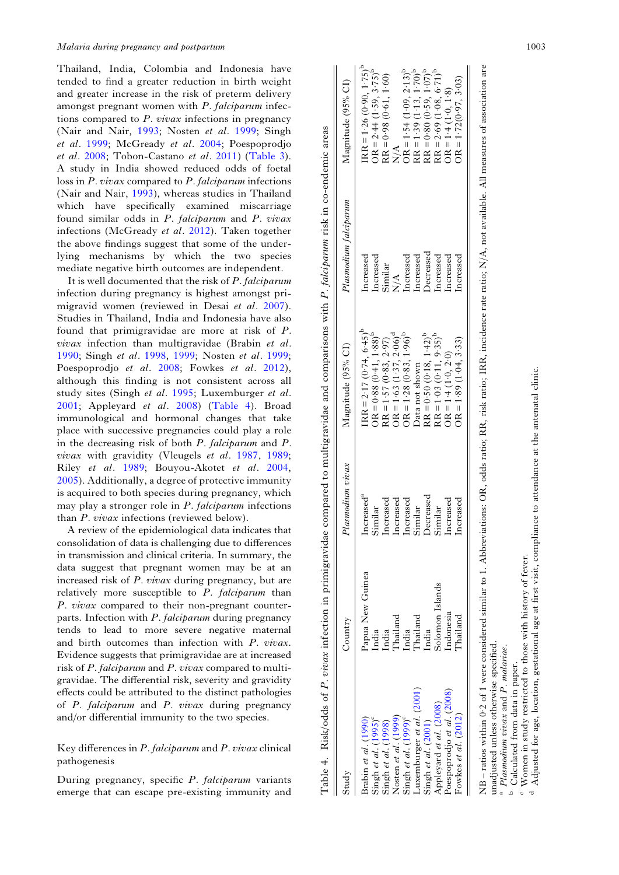<span id="page-4-0"></span>Thailand, India, Colombia and Indonesia have tended to find a greater reduction in birth weight and greater increase in the risk of preterm delivery amongst pregnant women with P. falciparum infections compared to  $P.$  vivax infections in pregnancy (Nair and Nair, [1993;](#page-15-0) Nosten et al. [1999;](#page-15-0) Singh et al. [1999;](#page-15-0) McGready et al. [2004;](#page-14-0) Poespoprodjo et al. [2008;](#page-15-0) Tobon-Castano et al. [2011](#page-16-0)) [\(Table 3\)](#page-3-0). A study in India showed reduced odds of foetal loss in P. vivax compared to P. falciparum infections (Nair and Nair, [1993\)](#page-15-0), whereas studies in Thailand which have specifically examined miscarriage found similar odds in P. falciparum and P. vivax infections (McGready et al. [2012](#page-14-0)). Taken together the above findings suggest that some of the underlying mechanisms by which the two species mediate negative birth outcomes are independent.

It is well documented that the risk of P. falciparum infection during pregnancy is highest amongst primigravid women (reviewed in Desai et al. [2007\)](#page-13-0). Studies in Thailand, India and Indonesia have also found that primigravidae are more at risk of P. vivax infection than multigravidae (Brabin et al. [1990;](#page-13-0) Singh et al. [1998,](#page-15-0) [1999;](#page-15-0) Nosten et al. [1999](#page-15-0); Poespoprodjo et al. [2008;](#page-15-0) Fowkes et al. [2012\)](#page-13-0), although this finding is not consistent across all study sites (Singh et al. [1995](#page-15-0); Luxemburger et al. [2001;](#page-14-0) Appleyard et al. [2008](#page-12-0)) (Table 4). Broad immunological and hormonal changes that take place with successive pregnancies could play a role in the decreasing risk of both P. falciparum and P. vivax with gravidity (Vleugels et al. [1987](#page-16-0), [1989](#page-16-0); Riley et al. [1989;](#page-15-0) Bouyou-Akotet et al. [2004](#page-13-0), [2005\)](#page-13-0). Additionally, a degree of protective immunity is acquired to both species during pregnancy, which may play a stronger role in  $P$ . falciparum infections than P. vivax infections (reviewed below).

A review of the epidemiological data indicates that consolidation of data is challenging due to differences in transmission and clinical criteria. In summary, the data suggest that pregnant women may be at an increased risk of P. vivax during pregnancy, but are relatively more susceptible to P. falciparum than P. vivax compared to their non-pregnant counterparts. Infection with P. falciparum during pregnancy tends to lead to more severe negative maternal and birth outcomes than infection with P. vivax. Evidence suggests that primigravidae are at increased risk of P. falciparum and P. vivax compared to multigravidae. The differential risk, severity and gravidity effects could be attributed to the distinct pathologies of P. falciparum and P. vivax during pregnancy and/or differential immunity to the two species.

# Key differences in P. falciparum and P. vivax clinical pathogenesis

During pregnancy, specific P. falciparum variants emerge that can escape pre-existing immunity and

| Study                            | Country          | $Plasmodium$ $vva x$   | Magnitude (95% CI)                 | Plasmoduum falcıparum | Magnitude (95% CI)                    |
|----------------------------------|------------------|------------------------|------------------------------------|-----------------------|---------------------------------------|
| Brabin et al. (1990)             | Papua New Guinea | Increased <sup>a</sup> | $\text{IRR} = 2.17 (0.74, 6.45)^p$ | Increased             | $IRR = 1.26 (0.90, 1.75)^{p}$         |
| Singh et al. $(1995)^c$          | India            | similar                | $OR = 0.88 (0.41, 1.88)^P$         | Increased             | OR = $2.44$ (1.59, 3.75) <sup>b</sup> |
| Singh et al. (1998)              | India            | ncreased               | $RR = 1.57 (0.83, 2.97)$           | Similar               | $RR = 0.98(0.61, 1.60)$               |
| Nosten et al. $(1999)$           | Thailand         | ncreased               | $OR = 1.63 (1.37, 2.06)^d$         | $\frac{A}{N}$         | $\frac{\mathcal{A}}{\mathbf{X}}$      |
| Singh et al. (1999) <sup>c</sup> | India            | ncreased               | $OR = 1.28 (0.83, 1.96)^p$         | Increased             | OR = $1.54$ (1.09, 2.13) <sup>b</sup> |
| Luxemburger et al. (2001)        | Thailand         | similar                | Data not shown                     | Increased             | $RR = 1.39 (1.13, 1.70)^{p}$          |
| Singh et al. (2001)              | India            | Jecreased              | $RR = 0.50 (0.18, 1.42)^{p}$       | Decreased             | $RR = 0.80 (0.59, 1.07)^p$            |
| Appleyard et al. (2008)          | Solomon Islands  | similar                | $RR = 1.03 (0.11, 9.35)^{p}$       | Increased             | $RR = 2.69 (1.08, 6.71)^b$            |
| Poespoprodjo et al. (2008)       | Indonesia        | ncreased               | $OR = 1.4 (1.0, 2.0)$              | Increased             | $OR = 1.4 (1.0, 1.8)$                 |
| Fowkes <i>et al.</i> $(2012)$    | <b>Thailand</b>  | ncreased               | $OR = 1.89(1.04, 3.33)$            | Increased             | OR = $1.72(0.97, 3.03)$               |

 $_{\rm Z}^{\rm B}$ unadjusted unless otherwise speci fied. a

Plasmodium vivax and P. malariae.

Calculated from data in paper.

Women in study restricted to those with history of fever. <sup>a</sup> *Plasmodium vivax* and *P. malariae.*<br><sup>b</sup> Calculated from data in paper.<br><sup>c</sup> Women in study restricted to those with history of fever.<br><sup>d</sup> Adjusted for age, location, gestational age at first visit, co

Adjusted for age, location, gestational age at first visit, compliance to attendance at the antenatal clinic. first visit, compliance to attendance at the antenatal clinic.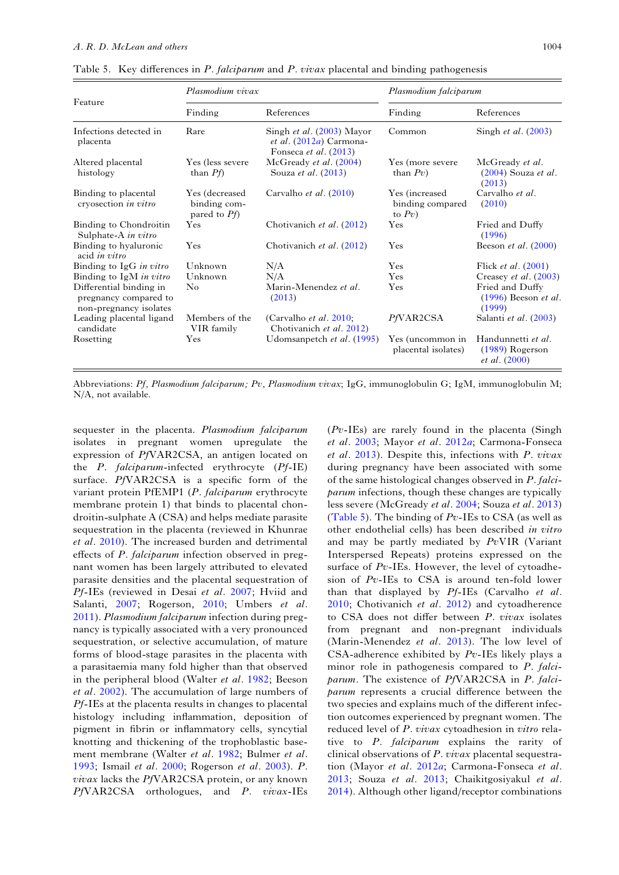|                                                                            | Plasmodium vivax                                  |                                                                                        | Plasmodium falciparum                           |                                                                 |  |
|----------------------------------------------------------------------------|---------------------------------------------------|----------------------------------------------------------------------------------------|-------------------------------------------------|-----------------------------------------------------------------|--|
| Feature                                                                    | Finding                                           | References                                                                             | Finding                                         | References                                                      |  |
| Infections detected in<br>placenta                                         | Rare                                              | Singh et al. (2003) Mayor<br>et al. (2012a) Carmona-<br>Fonseca <i>et al.</i> $(2013)$ | Common                                          | Singh <i>et al.</i> $(2003)$                                    |  |
| Altered placental<br>histology                                             | Yes (less severe<br>than $Pf$ )                   | McGready et al. (2004)<br>Souza et al. $(2013)$                                        | Yes (more severe<br>than $Pv)$                  | McGready et al.<br>$(2004)$ Souza et al.<br>(2013)              |  |
| Binding to placental<br>cryosection in vitro                               | Yes (decreased<br>binding com-<br>pared to $Pf$ ) | Carvalho et al. (2010)                                                                 | Yes (increased)<br>binding compared<br>to $Pv)$ | Carvalho et al.<br>(2010)                                       |  |
| Binding to Chondroitin<br>Sulphate-A in vitro                              | Yes                                               | Chotivanich et al. (2012)                                                              | Yes                                             | Fried and Duffy<br>(1996)                                       |  |
| Binding to hyaluronic<br>acid in vitro                                     | Yes                                               | Chotivanich et al. (2012)                                                              | Yes                                             | Beeson <i>et al.</i> $(2000)$                                   |  |
| Binding to IgG in vitro                                                    | Unknown                                           | N/A                                                                                    | Yes                                             | Flick <i>et al.</i> $(2001)$                                    |  |
| Binding to $IgM$ in vitro                                                  | Unknown                                           | N/A                                                                                    | Yes                                             | Creasey <i>et al.</i> $(2003)$                                  |  |
| Differential binding in<br>pregnancy compared to<br>non-pregnancy isolates | $\rm No$                                          | Marin-Menendez et al.<br>(2013)                                                        | Yes                                             | Fried and Duffy<br>$(1996)$ Beeson et al.<br>(1999)             |  |
| Leading placental ligand<br>candidate                                      | Members of the<br>VIR family                      | (Carvalho <i>et al.</i> 2010;<br>Chotivanich et al. 2012)                              | PfVAR2CSA                                       | Salanti et al. (2003)                                           |  |
| Rosetting                                                                  | Yes                                               | Udomsanpetch et al. (1995)                                                             | Yes (uncommon in<br>placental isolates)         | Handunnetti et al.<br>$(1989)$ Rogerson<br><i>et al.</i> (2000) |  |

<span id="page-5-0"></span>Table 5. Key differences in P. falciparum and P. vivax placental and binding pathogenesis

Abbreviations: Pf, Plasmodium falciparum; Pv, Plasmodium vivax; IgG, immunoglobulin G; IgM, immunoglobulin M; N/A, not available.

sequester in the placenta. Plasmodium falciparum isolates in pregnant women upregulate the expression of PfVAR2CSA, an antigen located on the P. falciparum-infected erythrocyte (Pf-IE) surface. PfVAR2CSA is a specific form of the variant protein PfEMP1 (P. falciparum erythrocyte membrane protein 1) that binds to placental chondroitin-sulphate A (CSA) and helps mediate parasite sequestration in the placenta (reviewed in Khunrae et al. [2010](#page-14-0)). The increased burden and detrimental effects of P. falciparum infection observed in pregnant women has been largely attributed to elevated parasite densities and the placental sequestration of Pf-IEs (reviewed in Desai et al. [2007](#page-13-0); Hviid and Salanti, [2007](#page-14-0); Rogerson, [2010;](#page-15-0) Umbers et al. [2011](#page-16-0)). Plasmodium falciparum infection during pregnancy is typically associated with a very pronounced sequestration, or selective accumulation, of mature forms of blood-stage parasites in the placenta with a parasitaemia many fold higher than that observed in the peripheral blood (Walter et al. [1982;](#page-16-0) Beeson et al. [2002](#page-12-0)). The accumulation of large numbers of Pf-IEs at the placenta results in changes to placental histology including inflammation, deposition of pigment in fibrin or inflammatory cells, syncytial knotting and thickening of the trophoblastic basement membrane (Walter et al. [1982](#page-16-0); Bulmer et al. [1993](#page-13-0); Ismail et al. [2000;](#page-14-0) Rogerson et al. [2003\)](#page-15-0). P. vivax lacks the PfVAR2CSA protein, or any known PfVAR2CSA orthologues, and P. vivax-IEs

 $(Pv-IEs)$  are rarely found in the placenta (Singh et al. [2003](#page-15-0); Mayor et al. [2012](#page-14-0)a; Carmona-Fonseca et al. [2013](#page-13-0)). Despite this, infections with P. vivax during pregnancy have been associated with some of the same histological changes observed in P. falciparum infections, though these changes are typically less severe (McGready et al. [2004;](#page-14-0) Souza et al. [2013](#page-15-0)) (Table 5). The binding of  $Pv$ -IEs to CSA (as well as other endothelial cells) has been described in vitro and may be partly mediated by PvVIR (Variant Interspersed Repeats) proteins expressed on the surface of  $Pv$ -IEs. However, the level of cytoadhesion of Pv-IEs to CSA is around ten-fold lower than that displayed by  $Pf$ -IEs (Carvalho et al. [2010;](#page-13-0) Chotivanich et al. [2012\)](#page-13-0) and cytoadherence to CSA does not differ between P. vivax isolates from pregnant and non-pregnant individuals (Marin-Menendez et al. [2013](#page-14-0)). The low level of CSA-adherence exhibited by Pv-IEs likely plays a minor role in pathogenesis compared to P. falciparum. The existence of PfVAR2CSA in P. falciparum represents a crucial difference between the two species and explains much of the different infection outcomes experienced by pregnant women. The reduced level of P. vivax cytoadhesion in vitro relative to P. falciparum explains the rarity of clinical observations of P. vivax placental sequestra-tion (Mayor et al. [2012](#page-14-0)a; Carmona-Fonseca et al. [2013;](#page-13-0) Souza et al. [2013](#page-15-0); Chaikitgosiyakul et al. [2014\)](#page-13-0). Although other ligand/receptor combinations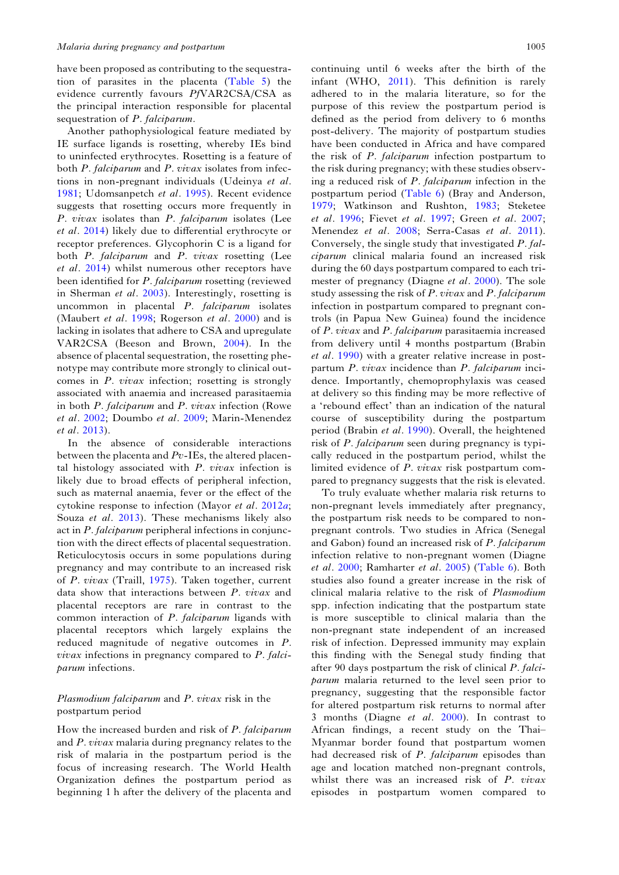have been proposed as contributing to the sequestration of parasites in the placenta [\(Table 5\)](#page-5-0) the evidence currently favours PfVAR2CSA/CSA as the principal interaction responsible for placental sequestration of P. falciparum.

Another pathophysiological feature mediated by IE surface ligands is rosetting, whereby IEs bind to uninfected erythrocytes. Rosetting is a feature of both P. falciparum and P. vivax isolates from infections in non-pregnant individuals (Udeinya et al. [1981;](#page-16-0) Udomsanpetch et al. [1995\)](#page-16-0). Recent evidence suggests that rosetting occurs more frequently in P. vivax isolates than P. falciparum isolates (Lee et al. [2014](#page-14-0)) likely due to differential erythrocyte or receptor preferences. Glycophorin C is a ligand for both P. falciparum and P. vivax rosetting (Lee et al. [2014\)](#page-14-0) whilst numerous other receptors have been identified for P. falciparum rosetting (reviewed in Sherman et al. [2003\)](#page-15-0). Interestingly, rosetting is uncommon in placental P. falciparum isolates (Maubert et al. [1998](#page-14-0); Rogerson et al. [2000](#page-15-0)) and is lacking in isolates that adhere to CSA and upregulate VAR2CSA (Beeson and Brown, [2004\)](#page-12-0). In the absence of placental sequestration, the rosetting phenotype may contribute more strongly to clinical outcomes in P. vivax infection; rosetting is strongly associated with anaemia and increased parasitaemia in both P. falciparum and P. vivax infection (Rowe et al. [2002](#page-15-0); Doumbo et al. [2009](#page-13-0); Marin-Menendez et al. [2013](#page-14-0)).

In the absence of considerable interactions between the placenta and  $Pv$ -IEs, the altered placental histology associated with  $P$ . *vivax* infection is likely due to broad effects of peripheral infection, such as maternal anaemia, fever or the effect of the cytokine response to infection (Mayor et al. [2012](#page-14-0)a; Souza et al. [2013\)](#page-15-0). These mechanisms likely also act in P. falciparum peripheral infections in conjunction with the direct effects of placental sequestration. Reticulocytosis occurs in some populations during pregnancy and may contribute to an increased risk of P. vivax (Traill, [1975](#page-16-0)). Taken together, current data show that interactions between P. vivax and placental receptors are rare in contrast to the common interaction of P. falciparum ligands with placental receptors which largely explains the reduced magnitude of negative outcomes in P. vivax infections in pregnancy compared to P. falciparum infections.

# Plasmodium falciparum and P. vivax risk in the postpartum period

How the increased burden and risk of P. falciparum and P. vivax malaria during pregnancy relates to the risk of malaria in the postpartum period is the focus of increasing research. The World Health Organization defines the postpartum period as beginning 1 h after the delivery of the placenta and continuing until 6 weeks after the birth of the infant (WHO, [2011](#page-16-0)). This definition is rarely adhered to in the malaria literature, so for the purpose of this review the postpartum period is defined as the period from delivery to 6 months post-delivery. The majority of postpartum studies have been conducted in Africa and have compared the risk of P. falciparum infection postpartum to the risk during pregnancy; with these studies observing a reduced risk of P. falciparum infection in the postpartum period [\(Table 6](#page-7-0)) (Bray and Anderson, [1979](#page-13-0); Watkinson and Rushton, [1983](#page-16-0); Steketee et al. [1996](#page-16-0); Fievet et al. [1997;](#page-13-0) Green et al. [2007](#page-14-0); Menendez et al. [2008](#page-14-0); Serra-Casas et al. [2011\)](#page-15-0). Conversely, the single study that investigated P. falciparum clinical malaria found an increased risk during the 60 days postpartum compared to each trimester of pregnancy (Diagne *et al.* [2000\)](#page-13-0). The sole study assessing the risk of  $P$ . vivax and  $P$ . falciparum infection in postpartum compared to pregnant controls (in Papua New Guinea) found the incidence of P. vivax and P. falciparum parasitaemia increased from delivery until 4 months postpartum (Brabin et al. [1990\)](#page-13-0) with a greater relative increase in postpartum P. vivax incidence than P. falciparum incidence. Importantly, chemoprophylaxis was ceased at delivery so this finding may be more reflective of a 'rebound effect' than an indication of the natural course of susceptibility during the postpartum period (Brabin et al. [1990\)](#page-13-0). Overall, the heightened risk of P. falciparum seen during pregnancy is typically reduced in the postpartum period, whilst the limited evidence of P. vivax risk postpartum compared to pregnancy suggests that the risk is elevated.

To truly evaluate whether malaria risk returns to non-pregnant levels immediately after pregnancy, the postpartum risk needs to be compared to nonpregnant controls. Two studies in Africa (Senegal and Gabon) found an increased risk of P. falciparum infection relative to non-pregnant women (Diagne et al. [2000;](#page-13-0) Ramharter et al. [2005](#page-15-0)) [\(Table 6\)](#page-7-0). Both studies also found a greater increase in the risk of clinical malaria relative to the risk of Plasmodium spp. infection indicating that the postpartum state is more susceptible to clinical malaria than the non-pregnant state independent of an increased risk of infection. Depressed immunity may explain this finding with the Senegal study finding that after 90 days postpartum the risk of clinical P. falciparum malaria returned to the level seen prior to pregnancy, suggesting that the responsible factor for altered postpartum risk returns to normal after 3 months (Diagne et al. [2000\)](#page-13-0). In contrast to African findings, a recent study on the Thai– Myanmar border found that postpartum women had decreased risk of P. falciparum episodes than age and location matched non-pregnant controls, whilst there was an increased risk of P. vivax episodes in postpartum women compared to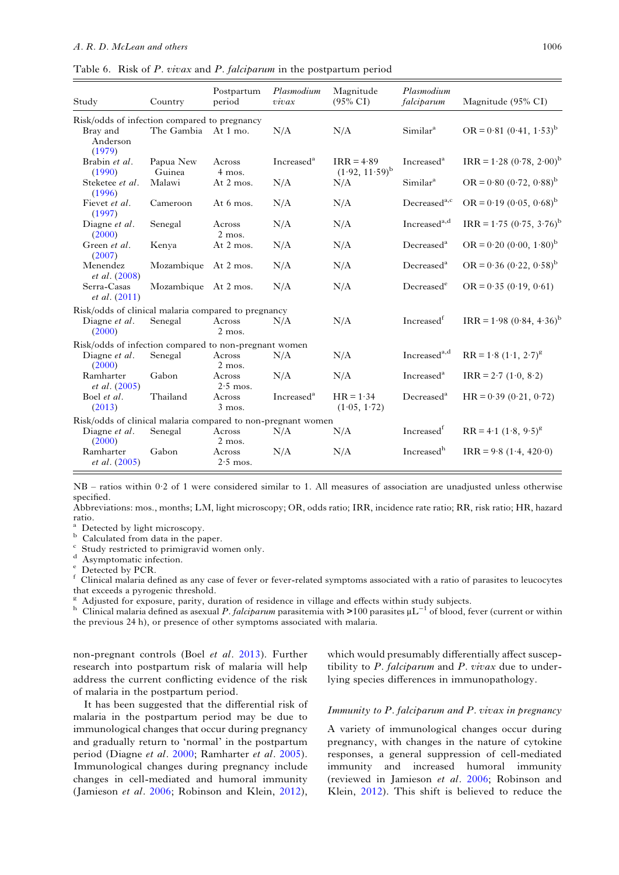## <span id="page-7-0"></span>A. R. D. McLean and others 1006

Table 6. Risk of P. vivax and P. falciparum in the postpartum period

| Study                                                                                    | Country              | Postpartum<br>period | Plasmodium<br>$\dot{v}$ | Magnitude<br>$(95\% \text{ CI})$    | Plasmodium<br>falciparum | Magnitude (95% CI)            |
|------------------------------------------------------------------------------------------|----------------------|----------------------|-------------------------|-------------------------------------|--------------------------|-------------------------------|
| Risk/odds of infection compared to pregnancy<br>Bray and<br>Anderson<br>(1979)           | The Gambia           | At $1 \text{ mo}$ .  | N/A                     | N/A                                 | Similar <sup>a</sup>     | $OR = 0.81 (0.41, 1.53)^{b}$  |
| Brabin et al.<br>(1990)                                                                  | Papua New<br>Guinea  | Across<br>4 mos.     | Increased <sup>a</sup>  | $IRR = 4.89$<br>$(1.92, 11.59)^{b}$ | Increased <sup>a</sup>   | $IRR = 1.28 (0.78, 2.00)^{b}$ |
| Steketee et al.<br>(1996)                                                                | Malawi               | At 2 mos.            | N/A                     | N/A                                 | Similar <sup>a</sup>     | $OR = 0.80 (0.72, 0.88)^{b}$  |
| Fievet et al.<br>(1997)                                                                  | Cameroon             | At 6 mos.            | N/A                     | N/A                                 | Decreased <sup>a,c</sup> | $OR = 0.19 (0.05, 0.68)^{b}$  |
| Diagne et al.<br>(2000)                                                                  | Senegal              | Across<br>$2$ mos.   | N/A                     | N/A                                 | Increased <sup>a,d</sup> | $IRR = 1.75 (0.75, 3.76)^{b}$ |
| Green <i>et al.</i><br>(2007)                                                            | Kenya                | At 2 mos.            | N/A                     | N/A                                 | Decreased <sup>a</sup>   | $OR = 0.20 (0.00, 1.80)^{b}$  |
| Menendez<br>et al. (2008)                                                                | Mozambique At 2 mos. |                      | N/A                     | N/A                                 | Decreased <sup>a</sup>   | $OR = 0.36 (0.22, 0.58)^{b}$  |
| Serra-Casas<br><i>et al.</i> (2011)                                                      | Mozambique At 2 mos. |                      | N/A                     | N/A                                 | Decreased <sup>e</sup>   | $OR = 0.35 (0.19, 0.61)$      |
| Risk/odds of clinical malaria compared to pregnancy<br>Diagne et al.<br>(2000)           | Senegal              | Across<br>$2$ mos.   | N/A                     | N/A                                 | Increased <sup>f</sup>   | $IRR = 1.98 (0.84, 4.36)^{b}$ |
| Risk/odds of infection compared to non-pregnant women<br>Diagne <i>et al</i> .<br>(2000) | Senegal              | Across<br>$2$ mos.   | N/A                     | N/A                                 | Increased <sup>a,d</sup> | $RR = 1.8 (1.1, 2.7)^g$       |
| Ramharter<br><i>et al.</i> (2005)                                                        | Gabon                | Across<br>$2.5$ mos. | N/A                     | N/A                                 | Increased <sup>a</sup>   | $IRR = 2.7 (1.0, 8.2)$        |
| Boel et al.<br>(2013)                                                                    | Thailand             | Across<br>$3$ mos.   | Increased <sup>a</sup>  | $HR = 1.34$<br>(1.05, 1.72)         | Decreased <sup>a</sup>   | $HR = 0.39 (0.21, 0.72)$      |
| Risk/odds of clinical malaria compared to non-pregnant women                             |                      |                      |                         |                                     |                          |                               |
| Diagne et al.<br>(2000)                                                                  | Senegal              | Across<br>$2$ mos.   | N/A                     | N/A                                 | Increased <sup>f</sup>   | $RR = 4.1 (1.8, 9.5)^g$       |
| Ramharter<br><i>et al.</i> (2005)                                                        | Gabon                | Across<br>$2.5$ mos. | N/A                     | N/A                                 | Increased <sup>h</sup>   | $IRR = 9.8 (1.4, 420.0)$      |

NB – ratios within 0.2 of 1 were considered similar to 1. All measures of association are unadjusted unless otherwise specified.

Abbreviations: mos., months; LM, light microscopy; OR, odds ratio; IRR, incidence rate ratio; RR, risk ratio; HR, hazard ratio.<br><sup>a</sup> Detected by light microscopy.

b<br>
Calculated from data in the paper.<br>
Calculated from data in the paper.<br>
Calculated from data in the paper.<br>
Calculated to primigravid women only.<br>
Calculated by PCR.<br>
Calculated by PCR.<br>
Calculated malaria defined as an that exceeds a pyrogenic threshold.<br><sup>g</sup> Adjusted for exposure, parity, duration of residence in village and effects within study subjects.

 $h$  Clinical malaria defined as asexual P. falciparum parasitemia with >100 parasites  $\mu L^{-1}$  of blood, fever (current or within the previous 24 h), or presence of other symptoms associated with malaria.

non-pregnant controls (Boel et al. [2013\)](#page-12-0). Further research into postpartum risk of malaria will help address the current conflicting evidence of the risk of malaria in the postpartum period.

It has been suggested that the differential risk of malaria in the postpartum period may be due to immunological changes that occur during pregnancy and gradually return to 'normal' in the postpartum period (Diagne et al. [2000;](#page-13-0) Ramharter et al. [2005\)](#page-15-0). Immunological changes during pregnancy include changes in cell-mediated and humoral immunity (Jamieson et al. [2006;](#page-14-0) Robinson and Klein, [2012\)](#page-15-0),

which would presumably differentially affect susceptibility to  $P.$  falciparum and  $P.$  vivax due to underlying species differences in immunopathology.

## Immunity to P. falciparum and P. vivax in pregnancy

A variety of immunological changes occur during pregnancy, with changes in the nature of cytokine responses, a general suppression of cell-mediated immunity and increased humoral immunity (reviewed in Jamieson et al. [2006;](#page-14-0) Robinson and Klein, [2012\)](#page-15-0). This shift is believed to reduce the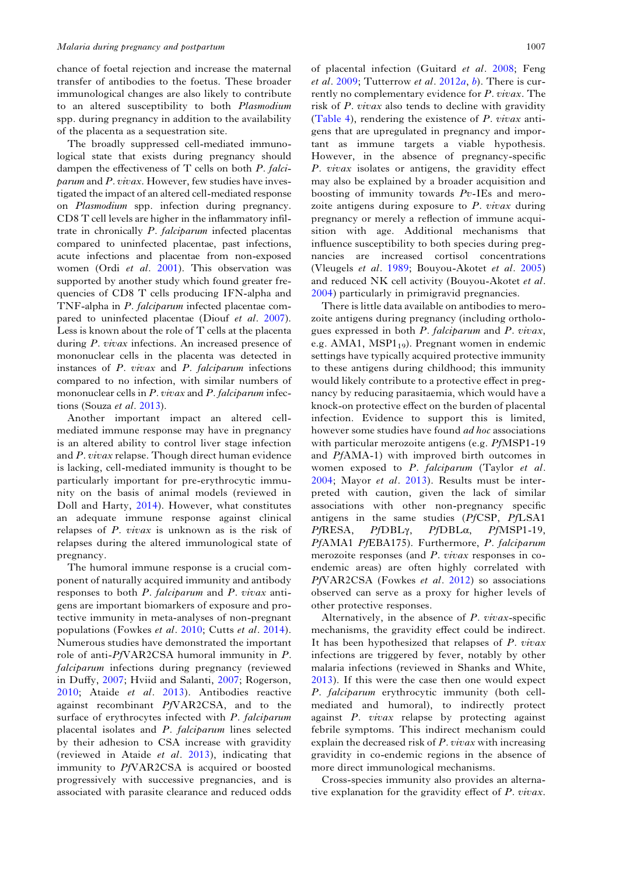chance of foetal rejection and increase the maternal transfer of antibodies to the foetus. These broader immunological changes are also likely to contribute to an altered susceptibility to both Plasmodium spp. during pregnancy in addition to the availability of the placenta as a sequestration site.

The broadly suppressed cell-mediated immunological state that exists during pregnancy should dampen the effectiveness of T cells on both P. falciparum and P. vivax. However, few studies have investigated the impact of an altered cell-mediated response on Plasmodium spp. infection during pregnancy. CD8 T cell levels are higher in the inflammatory infiltrate in chronically P. falciparum infected placentas compared to uninfected placentae, past infections, acute infections and placentae from non-exposed women (Ordi et al. [2001](#page-15-0)). This observation was supported by another study which found greater frequencies of CD8 T cells producing IFN-alpha and TNF-alpha in P. falciparum infected placentae com-pared to uninfected placentae (Diouf et al. [2007](#page-13-0)). Less is known about the role of T cells at the placenta during P. vivax infections. An increased presence of mononuclear cells in the placenta was detected in instances of P. vivax and P. falciparum infections compared to no infection, with similar numbers of mononuclear cells in P. vivax and P. falciparum infections (Souza et al. [2013](#page-15-0)).

Another important impact an altered cellmediated immune response may have in pregnancy is an altered ability to control liver stage infection and P. vivax relapse. Though direct human evidence is lacking, cell-mediated immunity is thought to be particularly important for pre-erythrocytic immunity on the basis of animal models (reviewed in Doll and Harty, [2014\)](#page-13-0). However, what constitutes an adequate immune response against clinical relapses of P. vivax is unknown as is the risk of relapses during the altered immunological state of pregnancy.

The humoral immune response is a crucial component of naturally acquired immunity and antibody responses to both P. falciparum and P. vivax antigens are important biomarkers of exposure and protective immunity in meta-analyses of non-pregnant populations (Fowkes et al. [2010;](#page-13-0) Cutts et al. [2014\)](#page-13-0). Numerous studies have demonstrated the important role of anti-PfVAR2CSA humoral immunity in P. falciparum infections during pregnancy (reviewed in Duffy, [2007](#page-13-0); Hviid and Salanti, [2007](#page-14-0); Rogerson, [2010;](#page-15-0) Ataide et al. [2013](#page-12-0)). Antibodies reactive against recombinant PfVAR2CSA, and to the surface of erythrocytes infected with P. falciparum placental isolates and P. falciparum lines selected by their adhesion to CSA increase with gravidity (reviewed in Ataide et al. [2013\)](#page-12-0), indicating that immunity to PfVAR2CSA is acquired or boosted progressively with successive pregnancies, and is associated with parasite clearance and reduced odds

of placental infection (Guitard et al. [2008](#page-14-0); Feng *et al.* [2009](#page-13-0); Tutterrow *et al.* [2012](#page-16-0) $a$ ,  $b$ ). There is currently no complementary evidence for P. vivax. The risk of P. vivax also tends to decline with gravidity ([Table 4\)](#page-4-0), rendering the existence of P. vivax antigens that are upregulated in pregnancy and important as immune targets a viable hypothesis. However, in the absence of pregnancy-specific P. vivax isolates or antigens, the gravidity effect may also be explained by a broader acquisition and boosting of immunity towards  $Pv$ -IEs and merozoite antigens during exposure to  $P$ . *vivax* during pregnancy or merely a reflection of immune acquisition with age. Additional mechanisms that influence susceptibility to both species during pregnancies are increased cortisol concentrations (Vleugels et al. [1989](#page-16-0); Bouyou-Akotet et al. [2005\)](#page-13-0) and reduced NK cell activity (Bouyou-Akotet et al. [2004](#page-13-0)) particularly in primigravid pregnancies.

There is little data available on antibodies to merozoite antigens during pregnancy (including orthologues expressed in both P. falciparum and P. vivax, e.g. AMA1, MSP $1_{19}$ ). Pregnant women in endemic settings have typically acquired protective immunity to these antigens during childhood; this immunity would likely contribute to a protective effect in pregnancy by reducing parasitaemia, which would have a knock-on protective effect on the burden of placental infection. Evidence to support this is limited, however some studies have found *ad hoc* associations with particular merozoite antigens (e.g. PfMSP1-19) and PfAMA-1) with improved birth outcomes in women exposed to P. falciparum (Taylor et al. [2004](#page-16-0); Mayor et al. [2013\)](#page-14-0). Results must be interpreted with caution, given the lack of similar associations with other non-pregnancy specific antigens in the same studies (PfCSP, PfLSA1 PfRESA, PfDBLγ, PfDBLα, PfMSP1-19, PfAMA1 PfEBA175). Furthermore, P. falciparum merozoite responses (and P. vivax responses in coendemic areas) are often highly correlated with PfVAR2CSA (Fowkes et al. [2012\)](#page-13-0) so associations observed can serve as a proxy for higher levels of other protective responses.

Alternatively, in the absence of  $P$ . vivax-specific mechanisms, the gravidity effect could be indirect. It has been hypothesized that relapses of  $P$ . vivax infections are triggered by fever, notably by other malaria infections (reviewed in Shanks and White, [2013](#page-15-0)). If this were the case then one would expect P. falciparum erythrocytic immunity (both cellmediated and humoral), to indirectly protect against P. vivax relapse by protecting against febrile symptoms. This indirect mechanism could explain the decreased risk of P. vivax with increasing gravidity in co-endemic regions in the absence of more direct immunological mechanisms.

Cross-species immunity also provides an alternative explanation for the gravidity effect of P. vivax.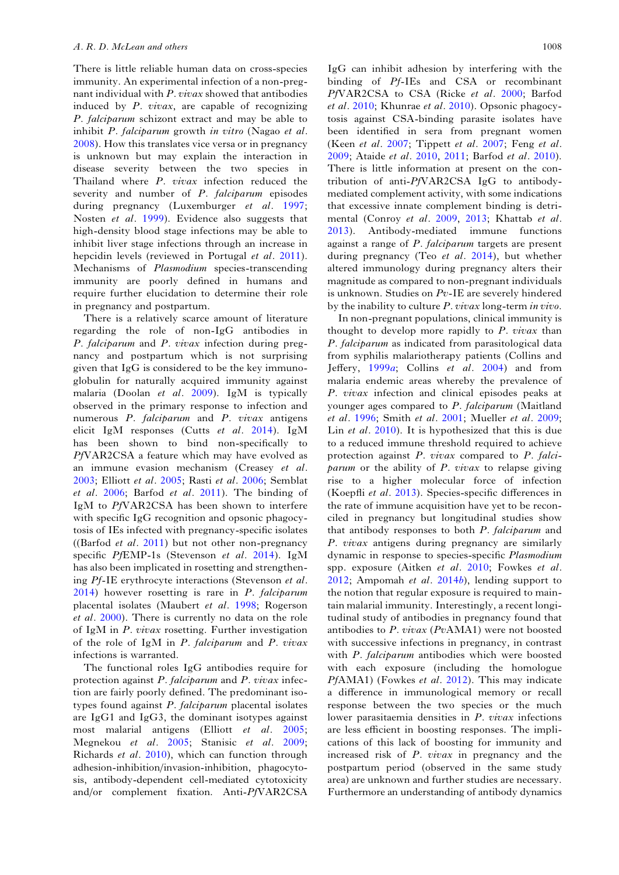There is little reliable human data on cross-species immunity. An experimental infection of a non-pregnant individual with P. vivax showed that antibodies induced by P. vivax, are capable of recognizing P. falciparum schizont extract and may be able to inhibit P. falciparum growth in vitro (Nagao et al. [2008](#page-15-0)). How this translates vice versa or in pregnancy is unknown but may explain the interaction in disease severity between the two species in Thailand where P. vivax infection reduced the severity and number of P. falciparum episodes during pregnancy (Luxemburger *et al.* [1997;](#page-14-0) Nosten et al. [1999\)](#page-15-0). Evidence also suggests that high-density blood stage infections may be able to inhibit liver stage infections through an increase in hepcidin levels (reviewed in Portugal et al. [2011\)](#page-15-0). Mechanisms of Plasmodium species-transcending immunity are poorly defined in humans and require further elucidation to determine their role in pregnancy and postpartum.

There is a relatively scarce amount of literature regarding the role of non-IgG antibodies in P. falciparum and P. vivax infection during pregnancy and postpartum which is not surprising given that IgG is considered to be the key immunoglobulin for naturally acquired immunity against malaria (Doolan et al. [2009\)](#page-13-0). IgM is typically observed in the primary response to infection and numerous P. falciparum and P. vivax antigens elicit IgM responses (Cutts et al. [2014\)](#page-13-0). IgM has been shown to bind non-specifically to PfVAR2CSA a feature which may have evolved as an immune evasion mechanism (Creasey et al. [2003](#page-13-0); Elliott et al. [2005](#page-13-0); Rasti et al. [2006;](#page-15-0) Semblat et al. [2006](#page-15-0); Barfod et al. [2011](#page-12-0)). The binding of IgM to PfVAR2CSA has been shown to interfere with specific IgG recognition and opsonic phagocytosis of IEs infected with pregnancy-specific isolates ((Barfod *et al.* [2011](#page-12-0)) but not other non-pregnancy specific PfEMP-1s (Stevenson et al. [2014](#page-16-0)). IgM has also been implicated in rosetting and strengthening Pf-IE erythrocyte interactions (Stevenson et al. [2014](#page-16-0)) however rosetting is rare in P. falciparum placental isolates (Maubert et al. [1998;](#page-14-0) Rogerson et al. [2000\)](#page-15-0). There is currently no data on the role of IgM in P. vivax rosetting. Further investigation of the role of IgM in P. falciparum and P. vivax infections is warranted.

The functional roles IgG antibodies require for protection against P. falciparum and P. vivax infection are fairly poorly defined. The predominant isotypes found against P. falciparum placental isolates are IgG1 and IgG3, the dominant isotypes against most malarial antigens (Elliott et al. [2005;](#page-13-0) Megnekou et al. [2005;](#page-14-0) Stanisic et al. [2009](#page-16-0); Richards et al. [2010\)](#page-15-0), which can function through adhesion-inhibition/invasion-inhibition, phagocytosis, antibody-dependent cell-mediated cytotoxicity and/or complement fixation. Anti-PfVAR2CSA

IgG can inhibit adhesion by interfering with the binding of Pf-IEs and CSA or recombinant PfVAR2CSA to CSA (Ricke et al. [2000;](#page-15-0) Barfod et al. [2010](#page-12-0); Khunrae et al. [2010](#page-14-0)). Opsonic phagocytosis against CSA-binding parasite isolates have been identified in sera from pregnant women (Keen et al. [2007;](#page-14-0) Tippett et al. [2007;](#page-16-0) Feng et al. [2009;](#page-13-0) Ataide et al. [2010,](#page-12-0) [2011](#page-12-0); Barfod et al. [2010](#page-12-0)). There is little information at present on the contribution of anti-PfVAR2CSA IgG to antibodymediated complement activity, with some indications that excessive innate complement binding is detrimental (Conroy et al. [2009,](#page-13-0) [2013;](#page-13-0) Khattab et al. [2013\)](#page-14-0). Antibody-mediated immune functions against a range of  $P.$  falciparum targets are present during pregnancy (Teo et al. [2014](#page-16-0)), but whether altered immunology during pregnancy alters their magnitude as compared to non-pregnant individuals is unknown. Studies on Pv-IE are severely hindered by the inability to culture P. vivax long-term in vivo.

In non-pregnant populations, clinical immunity is thought to develop more rapidly to  $P$ . vivax than P. falciparum as indicated from parasitological data from syphilis malariotherapy patients (Collins and Jeffery, [1999](#page-13-0)a; Collins et al. [2004\)](#page-13-0) and from malaria endemic areas whereby the prevalence of P. vivax infection and clinical episodes peaks at younger ages compared to P. falciparum (Maitland et al. [1996;](#page-14-0) Smith et al. [2001;](#page-15-0) Mueller et al. [2009;](#page-15-0) Lin *et al.* [2010](#page-14-0)). It is hypothesized that this is due to a reduced immune threshold required to achieve protection against P. vivax compared to P. falci*parum* or the ability of  $P$ . *vivax* to relapse giving rise to a higher molecular force of infection (Koepfli et al. [2013\)](#page-14-0). Species-specific differences in the rate of immune acquisition have yet to be reconciled in pregnancy but longitudinal studies show that antibody responses to both P. falciparum and P. vivax antigens during pregnancy are similarly dynamic in response to species-specific Plasmodium spp. exposure (Aitken et al. [2010](#page-12-0); Fowkes et al.  $2012$ ; Ampomah *et al.*  $2014b$  $2014b$ ), lending support to the notion that regular exposure is required to maintain malarial immunity. Interestingly, a recent longitudinal study of antibodies in pregnancy found that antibodies to P. vivax (PvAMA1) were not boosted with successive infections in pregnancy, in contrast with P. falciparum antibodies which were boosted with each exposure (including the homologue PfAMA1) (Fowkes et al. [2012\)](#page-13-0). This may indicate a difference in immunological memory or recall response between the two species or the much lower parasitaemia densities in P. vivax infections are less efficient in boosting responses. The implications of this lack of boosting for immunity and increased risk of P. vivax in pregnancy and the postpartum period (observed in the same study area) are unknown and further studies are necessary. Furthermore an understanding of antibody dynamics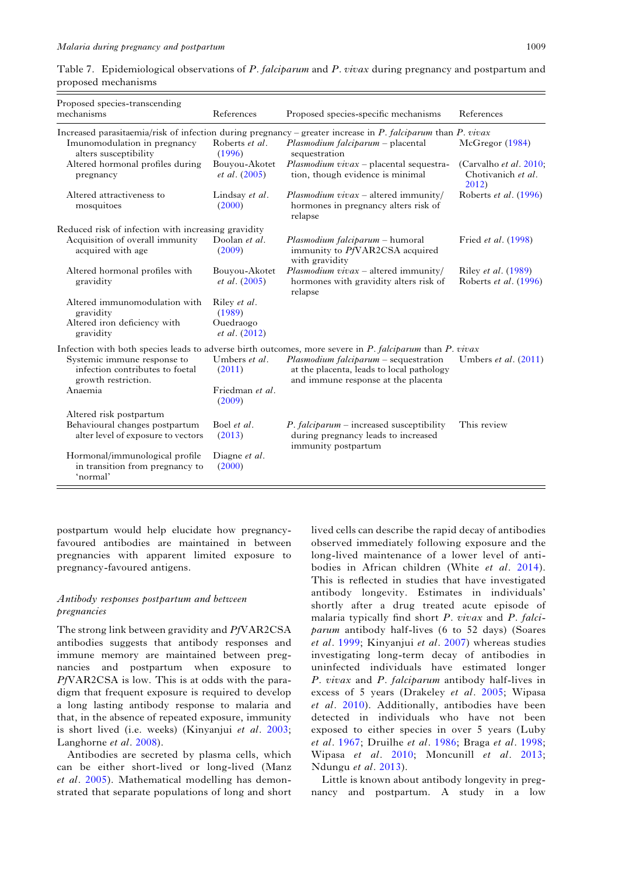<span id="page-10-0"></span>Table 7. Epidemiological observations of P. falciparum and P. vivax during pregnancy and postpartum and proposed mechanisms

| Proposed species-transcending<br>mechanisms                                           | References                            | Proposed species-specific mechanisms                                                                                                                              | References                                                  |
|---------------------------------------------------------------------------------------|---------------------------------------|-------------------------------------------------------------------------------------------------------------------------------------------------------------------|-------------------------------------------------------------|
| Imunomodulation in pregnancy<br>alters susceptibility                                 | Roberts et al.<br>(1996)              | Increased parasitaemia/risk of infection during pregnancy - greater increase in P. falciparum than P. vivax<br>Plasmodium falciparum - placental<br>sequestration | McGregor (1984)                                             |
| Altered hormonal profiles during<br>pregnancy                                         | Bouyou-Akotet<br><i>et al.</i> (2005) | Plasmodium vivax - placental sequestra-<br>tion, though evidence is minimal                                                                                       | (Carvalho <i>et al.</i> 2010;<br>Chotivanich et al.<br>2012 |
| Altered attractiveness to<br>mosquitoes                                               | Lindsay et al.<br>(2000)              | <i>Plasmodium vivax</i> – altered immunity/<br>hormones in pregnancy alters risk of<br>relapse                                                                    | Roberts et al. (1996)                                       |
| Reduced risk of infection with increasing gravidity                                   |                                       |                                                                                                                                                                   |                                                             |
| Acquisition of overall immunity<br>acquired with age                                  | Doolan et al.<br>(2009)               | Plasmodium falciparum – humoral<br>immunity to PfVAR2CSA acquired<br>with gravidity                                                                               | Fried <i>et al.</i> (1998)                                  |
| Altered hormonal profiles with<br>gravidity                                           | Bouyou-Akotet<br><i>et al.</i> (2005) | Plasmodium vivax - altered immunity/<br>hormones with gravidity alters risk of<br>relapse                                                                         | Riley et al. (1989)<br>Roberts et al. (1996)                |
| Altered immunomodulation with<br>gravidity                                            | Riley et al.<br>(1989)                |                                                                                                                                                                   |                                                             |
| Altered iron deficiency with<br>gravidity                                             | Ouedraogo<br>et al. (2012)            |                                                                                                                                                                   |                                                             |
|                                                                                       |                                       | Infection with both species leads to adverse birth outcomes, more severe in P. falciparum than P. vivax                                                           |                                                             |
| Systemic immune response to<br>infection contributes to foetal<br>growth restriction. | Umbers et al.<br>(2011)               | Plasmodium falciparum - sequestration<br>at the placenta, leads to local pathology<br>and immune response at the placenta                                         | Umbers <i>et al.</i> $(2011)$                               |
| Anaemia                                                                               | Friedman et al.<br>(2009)             |                                                                                                                                                                   |                                                             |
| Altered risk postpartum                                                               |                                       |                                                                                                                                                                   |                                                             |
| Behavioural changes postpartum<br>alter level of exposure to vectors                  | Boel et al.<br>(2013)                 | $P. falciparum$ – increased susceptibility<br>during pregnancy leads to increased<br>immunity postpartum                                                          | This review                                                 |
| Hormonal/immunological profile<br>in transition from pregnancy to<br>'normal'         | Diagne et al.<br>(2000)               |                                                                                                                                                                   |                                                             |

postpartum would help elucidate how pregnancyfavoured antibodies are maintained in between pregnancies with apparent limited exposure to pregnancy-favoured antigens.

# Antibody responses postpartum and between pregnancies

The strong link between gravidity and PfVAR2CSA antibodies suggests that antibody responses and immune memory are maintained between pregnancies and postpartum when exposure to PfVAR2CSA is low. This is at odds with the paradigm that frequent exposure is required to develop a long lasting antibody response to malaria and that, in the absence of repeated exposure, immunity is short lived (i.e. weeks) (Kinyanjui et al. [2003](#page-14-0); Langhorne et al. [2008](#page-14-0)).

Antibodies are secreted by plasma cells, which can be either short-lived or long-lived (Manz et al. [2005](#page-14-0)). Mathematical modelling has demonstrated that separate populations of long and short

lived cells can describe the rapid decay of antibodies observed immediately following exposure and the long-lived maintenance of a lower level of antibodies in African children (White et al. [2014\)](#page-16-0). This is reflected in studies that have investigated antibody longevity. Estimates in individuals' shortly after a drug treated acute episode of malaria typically find short P. vivax and P. falciparum antibody half-lives (6 to 52 days) (Soares et al. [1999](#page-15-0); Kinyanjui et al. [2007](#page-14-0)) whereas studies investigating long-term decay of antibodies in uninfected individuals have estimated longer P. vivax and P. falciparum antibody half-lives in excess of 5 years (Drakeley et al. [2005](#page-13-0); Wipasa et al. [2010\)](#page-16-0). Additionally, antibodies have been detected in individuals who have not been exposed to either species in over 5 years (Luby et al. [1967;](#page-14-0) Druilhe et al. [1986](#page-13-0); Braga et al. [1998](#page-13-0); Wipasa et al. [2010;](#page-16-0) Moncunill et al. [2013](#page-15-0); Ndungu et al. [2013\)](#page-15-0).

Little is known about antibody longevity in pregnancy and postpartum. A study in a low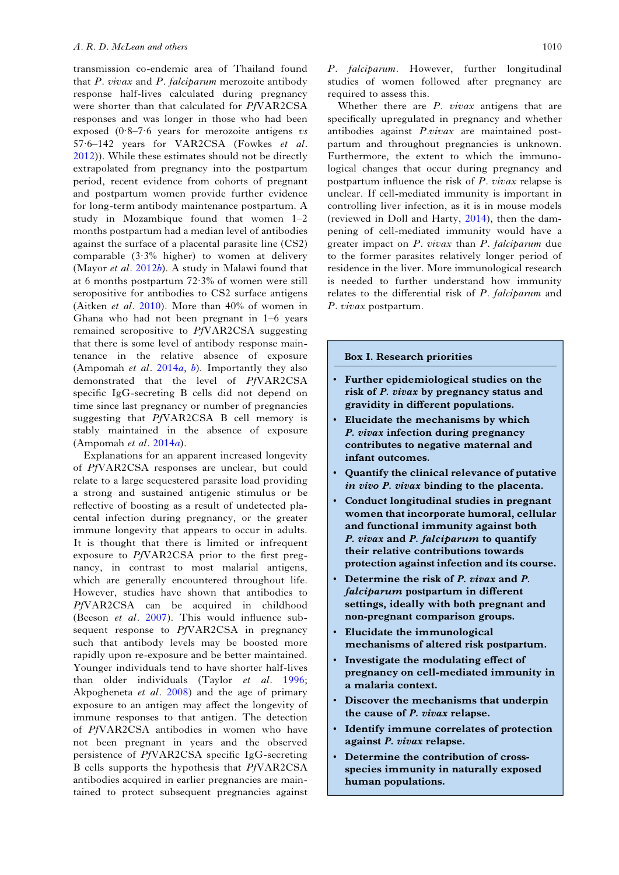transmission co-endemic area of Thailand found that P. vivax and P. falciparum merozoite antibody response half-lives calculated during pregnancy were shorter than that calculated for PfVAR2CSA responses and was longer in those who had been exposed (0·8–7·6 years for merozoite antigens vs 57·6–142 years for VAR2CSA (Fowkes et al. [2012](#page-13-0))). While these estimates should not be directly extrapolated from pregnancy into the postpartum period, recent evidence from cohorts of pregnant and postpartum women provide further evidence for long-term antibody maintenance postpartum. A study in Mozambique found that women 1–2 months postpartum had a median level of antibodies against the surface of a placental parasite line (CS2) comparable (3·3% higher) to women at delivery (Mayor et al. [2012](#page-14-0)b). A study in Malawi found that at 6 months postpartum 72·3% of women were still seropositive for antibodies to CS2 surface antigens (Aitken et al. [2010\)](#page-12-0). More than 40% of women in Ghana who had not been pregnant in 1–6 years remained seropositive to PfVAR2CSA suggesting that there is some level of antibody response maintenance in the relative absence of exposure (Ampomah et al.  $2014a$  $2014a$ , [b](#page-12-0)). Importantly they also demonstrated that the level of PfVAR2CSA specific IgG-secreting B cells did not depend on time since last pregnancy or number of pregnancies suggesting that PfVAR2CSA B cell memory is stably maintained in the absence of exposure (Ampomah et al.  $2014a$  $2014a$ ).

Explanations for an apparent increased longevity of PfVAR2CSA responses are unclear, but could relate to a large sequestered parasite load providing a strong and sustained antigenic stimulus or be reflective of boosting as a result of undetected placental infection during pregnancy, or the greater immune longevity that appears to occur in adults. It is thought that there is limited or infrequent exposure to PfVAR2CSA prior to the first pregnancy, in contrast to most malarial antigens, which are generally encountered throughout life. However, studies have shown that antibodies to PfVAR2CSA can be acquired in childhood (Beeson et al. [2007\)](#page-12-0). This would influence subsequent response to PfVAR2CSA in pregnancy such that antibody levels may be boosted more rapidly upon re-exposure and be better maintained. Younger individuals tend to have shorter half-lives than older individuals (Taylor et al. [1996;](#page-16-0) Akpogheneta et al. [2008](#page-12-0)) and the age of primary exposure to an antigen may affect the longevity of immune responses to that antigen. The detection of PfVAR2CSA antibodies in women who have not been pregnant in years and the observed persistence of PfVAR2CSA specific IgG-secreting B cells supports the hypothesis that PfVAR2CSA antibodies acquired in earlier pregnancies are maintained to protect subsequent pregnancies against

P. falciparum. However, further longitudinal studies of women followed after pregnancy are required to assess this.

Whether there are  $P.$  vivax antigens that are specifically upregulated in pregnancy and whether antibodies against P.vivax are maintained postpartum and throughout pregnancies is unknown. Furthermore, the extent to which the immunological changes that occur during pregnancy and postpartum influence the risk of P. vivax relapse is unclear. If cell-mediated immunity is important in controlling liver infection, as it is in mouse models (reviewed in Doll and Harty, [2014](#page-13-0)), then the dampening of cell-mediated immunity would have a greater impact on  $P.$  vivax than  $P.$  falciparum due to the former parasites relatively longer period of residence in the liver. More immunological research is needed to further understand how immunity relates to the differential risk of P. falciparum and P. vivax postpartum.

#### Box I. Research priorities

- Further epidemiological studies on the risk of P. vivax by pregnancy status and gravidity in different populations.
- Elucidate the mechanisms by which P. vivax infection during pregnancy contributes to negative maternal and infant outcomes.
- Quantify the clinical relevance of putative in vivo P. vivax binding to the placenta.
- Conduct longitudinal studies in pregnant women that incorporate humoral, cellular and functional immunity against both P. vivax and P. falciparum to quantify their relative contributions towards protection against infection and its course.
- Determine the risk of P. vivax and P. falciparum postpartum in different settings, ideally with both pregnant and non-pregnant comparison groups.
- Elucidate the immunological mechanisms of altered risk postpartum.
- Investigate the modulating effect of pregnancy on cell-mediated immunity in a malaria context.
- Discover the mechanisms that underpin the cause of P. vivax relapse.
- Identify immune correlates of protection against P. vivax relapse.
- Determine the contribution of crossspecies immunity in naturally exposed human populations.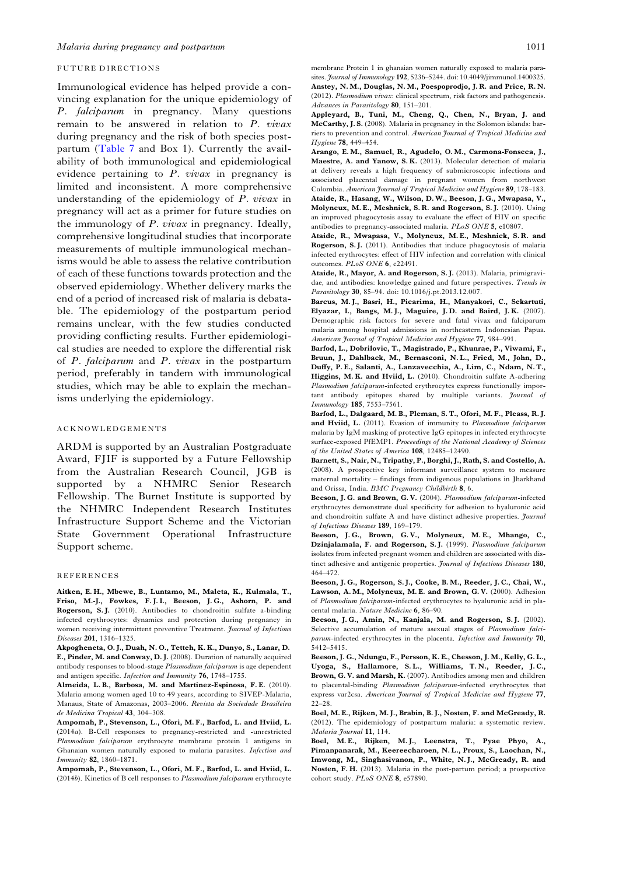#### <span id="page-12-0"></span>FUTURE DIRECTIONS

Immunological evidence has helped provide a convincing explanation for the unique epidemiology of P. falciparum in pregnancy. Many questions remain to be answered in relation to P. vivax during pregnancy and the risk of both species postpartum [\(Table 7](#page-10-0) and Box 1). Currently the availability of both immunological and epidemiological evidence pertaining to P. vivax in pregnancy is limited and inconsistent. A more comprehensive understanding of the epidemiology of P. vivax in pregnancy will act as a primer for future studies on the immunology of P. vivax in pregnancy. Ideally, comprehensive longitudinal studies that incorporate measurements of multiple immunological mechanisms would be able to assess the relative contribution of each of these functions towards protection and the observed epidemiology. Whether delivery marks the end of a period of increased risk of malaria is debatable. The epidemiology of the postpartum period remains unclear, with the few studies conducted providing conflicting results. Further epidemiological studies are needed to explore the differential risk of P. falciparum and P. vivax in the postpartum period, preferably in tandem with immunological studies, which may be able to explain the mechanisms underlying the epidemiology.

#### ACKNOWLEDGEMENTS

ARDM is supported by an Australian Postgraduate Award, FJIF is supported by a Future Fellowship from the Australian Research Council, JGB is supported by a NHMRC Senior Research Fellowship. The Burnet Institute is supported by the NHMRC Independent Research Institutes Infrastructure Support Scheme and the Victorian State Government Operational Infrastructure Support scheme.

#### REFERENCES

Aitken, E. H., Mbewe, B., Luntamo, M., Maleta, K., Kulmala, T., Friso, M.-J., Fowkes, F. J. I., Beeson, J. G., Ashorn, P. and Rogerson, S. J. (2010). Antibodies to chondroitin sulfate a-binding infected erythrocytes: dynamics and protection during pregnancy in women receiving intermittent preventive Treatment. Journal of Infectious Diseases 201, 1316–1325.

Akpogheneta, O. J., Duah, N. O., Tetteh, K. K., Dunyo, S., Lanar, D. E., Pinder, M. and Conway, D. J. (2008). Duration of naturally acquired antibody responses to blood-stage Plasmodium falciparum is age dependent and antigen specific. Infection and Immunity 76, 1748–1755.

Almeida, L. B., Barbosa, M. and Martinez-Espinosa, F. E. (2010). Malaria among women aged 10 to 49 years, according to SIVEP-Malaria, Manaus, State of Amazonas, 2003–2006. Revista da Sociedade Brasileira de Medicina Tropical 43, 304–308.

Ampomah, P., Stevenson, L., Ofori, M. F., Barfod, L. and Hviid, L. (2014a). B-Cell responses to pregnancy-restricted and -unrestricted Plasmodium falciparum erythrocyte membrane protein 1 antigens in Ghanaian women naturally exposed to malaria parasites. Infection and Immunity 82, 1860–1871.

Ampomah, P., Stevenson, L., Ofori, M. F., Barfod, L. and Hviid, L. (2014b). Kinetics of B cell responses to Plasmodium falciparum erythrocyte membrane Protein 1 in ghanaian women naturally exposed to malaria parasites. *Journal of Immunology* 192, 5236–5244. doi: 10.4049/jimmunol.1400325. Anstey, N. M., Douglas, N. M., Poespoprodjo, J. R. and Price, R. N. (2012). Plasmodium vivax: clinical spectrum, risk factors and pathogenesis. Advances in Parasitology 80, 151–201.

Appleyard, B., Tuni, M., Cheng, Q., Chen, N., Bryan, J. and McCarthy, J. S. (2008). Malaria in pregnancy in the Solomon islands: barriers to prevention and control. American Journal of Tropical Medicine and Hygiene 78, 449–454.

Arango, E. M., Samuel, R., Agudelo, O. M., Carmona-Fonseca, J., Maestre, A. and Yanow, S. K. (2013). Molecular detection of malaria at delivery reveals a high frequency of submicroscopic infections and associated placental damage in pregnant women from northwest Colombia. American Journal of Tropical Medicine and Hygiene 89, 178–183. Ataide, R., Hasang, W., Wilson, D. W., Beeson, J. G., Mwapasa, V., Molyneux, M. E., Meshnick, S. R. and Rogerson, S. J. (2010). Using an improved phagocytosis assay to evaluate the effect of HIV on specific antibodies to pregnancy-associated malaria. PLoS ONE 5, e10807.

Ataide, R., Mwapasa, V., Molyneux, M. E., Meshnick, S. R. and Rogerson, S. J. (2011). Antibodies that induce phagocytosis of malaria infected erythrocytes: effect of HIV infection and correlation with clinical outcomes. PLoS ONE 6, e22491.

Ataide, R., Mayor, A. and Rogerson, S. J. (2013). Malaria, primigravidae, and antibodies: knowledge gained and future perspectives. Trends in Parasitology 30, 85–94. doi: 10.1016/j.pt.2013.12.007.

Barcus, M. J., Basri, H., Picarima, H., Manyakori, C., Sekartuti, Elyazar, I., Bangs, M. J., Maguire, J. D. and Baird, J. K. (2007). Demographic risk factors for severe and fatal vivax and falciparum malaria among hospital admissions in northeastern Indonesian Papua. American Journal of Tropical Medicine and Hygiene 77, 984–991.

Barfod, L., Dobrilovic, T., Magistrado, P., Khunrae, P., Viwami, F., Bruun, J., Dahlback, M., Bernasconi, N. L., Fried, M., John, D., Duffy, P. E., Salanti, A., Lanzavecchia, A., Lim, C., Ndam, N. T., Higgins, M. K. and Hviid, L. (2010). Chondroitin sulfate A-adhering Plasmodium falciparum-infected erythrocytes express functionally important antibody epitopes shared by multiple variants. Journal of Immunology 185, 7553–7561.

Barfod, L., Dalgaard, M. B., Pleman, S. T., Ofori, M. F., Pleass, R. J. and Hviid, L. (2011). Evasion of immunity to Plasmodium falciparum malaria by IgM masking of protective IgG epitopes in infected erythrocyte surface-exposed PfEMP1. Proceedings of the National Academy of Sciences of the United States of America 108, 12485–12490.

Barnett, S., Nair, N., Tripathy, P., Borghi, J., Rath, S. and Costello, A. (2008). A prospective key informant surveillance system to measure maternal mortality – findings from indigenous populations in Jharkhand and Orissa, India. BMC Pregnancy Childbirth 8, 6.

Beeson, J. G. and Brown, G. V. (2004). Plasmodium falciparum-infected erythrocytes demonstrate dual specificity for adhesion to hyaluronic acid and chondroitin sulfate A and have distinct adhesive properties. Journal of Infectious Diseases 189, 169–179.

Beeson, J. G., Brown, G. V., Molyneux, M. E., Mhango, C., Dzinjalamala, F. and Rogerson, S. J. (1999). Plasmodium falciparum isolates from infected pregnant women and children are associated with distinct adhesive and antigenic properties. *Journal of Infectious Diseases* 180, 464–472.

Beeson, J. G., Rogerson, S. J., Cooke, B. M., Reeder, J. C., Chai, W., Lawson, A. M., Molyneux, M. E. and Brown, G. V. (2000). Adhesion of Plasmodium falciparum-infected erythrocytes to hyaluronic acid in placental malaria. Nature Medicine 6, 86–90.

Beeson, J. G., Amin, N., Kanjala, M. and Rogerson, S. J. (2002). Selective accumulation of mature asexual stages of Plasmodium falciparum-infected erythrocytes in the placenta. Infection and Immunity 70, 5412–5415.

Beeson, J. G., Ndungu, F., Persson, K. E., Chesson, J. M., Kelly, G. L., Uyoga, S., Hallamore, S. L., Williams, T. N., Reeder, J. C., Brown, G. V. and Marsh, K. (2007). Antibodies among men and children to placental-binding Plasmodium falciparum-infected erythrocytes that express var2csa. American Journal of Tropical Medicine and Hygiene 77,  $22-28$ 

Boel, M. E., Rijken, M. J., Brabin, B. J., Nosten, F. and McGready, R. (2012). The epidemiology of postpartum malaria: a systematic review. Malaria Journal 11, 114.

Boel, M. E., Rijken, M. J., Leenstra, T., Pyae Phyo, A., Pimanpanarak, M., Keereecharoen, N. L., Proux, S., Laochan, N., Imwong, M., Singhasivanon, P., White, N. J., McGready, R. and Nosten, F. H. (2013). Malaria in the post-partum period; a prospective cohort study. PLoS ONE 8, e57890.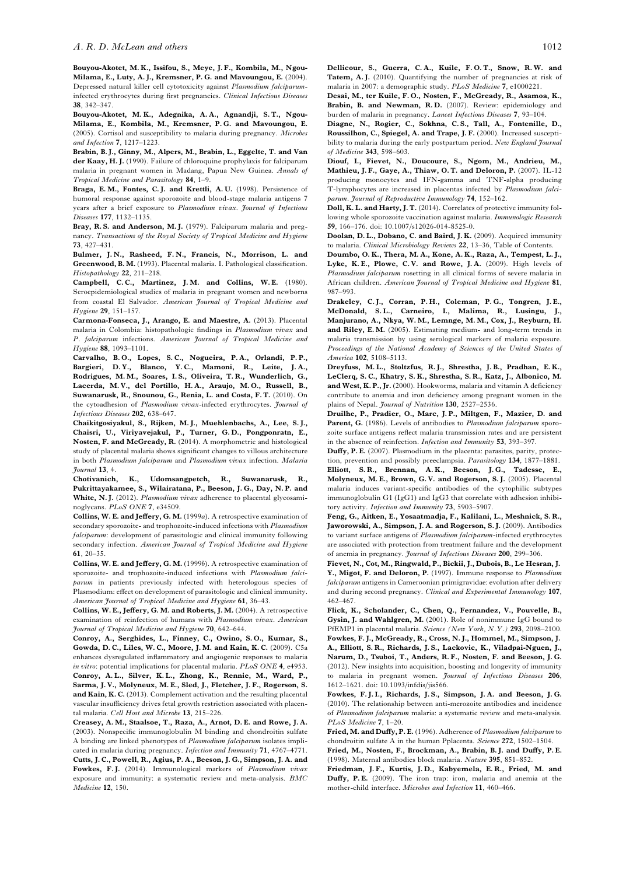#### <span id="page-13-0"></span>A. R. D. McLean and others 1012

Bouyou-Akotet, M. K., Issifou, S., Meye, J. F., Kombila, M., Ngou-Milama, E., Luty, A. J., Kremsner, P. G. and Mavoungou, E. (2004). Depressed natural killer cell cytotoxicity against Plasmodium falciparuminfected erythrocytes during first pregnancies. Clinical Infectious Diseases 38, 342–347.

Bouyou-Akotet, M. K., Adegnika, A. A., Agnandji, S. T., Ngou-Milama, E., Kombila, M., Kremsner, P. G. and Mavoungou, E. (2005). Cortisol and susceptibility to malaria during pregnancy. Microbes and Infection 7, 1217–1223.

Brabin, B. J., Ginny, M., Alpers, M., Brabin, L., Eggelte, T. and Van der Kaay, H. J. (1990). Failure of chloroquine prophylaxis for falciparum malaria in pregnant women in Madang, Papua New Guinea. Annals of Tropical Medicine and Parasitology 84, 1–9.

Braga, E. M., Fontes, C. J. and Krettli, A. U. (1998). Persistence of humoral response against sporozoite and blood-stage malaria antigens 7 years after a brief exposure to Plasmodium vivax. Journal of Infectious Diseases 177, 1132–1135.

Bray, R.S. and Anderson, M.J. (1979). Falciparum malaria and pregnancy. Transactions of the Royal Society of Tropical Medicine and Hygiene 73, 427–431.

Bulmer, J. N., Rasheed, F. N., Francis, N., Morrison, L. and Greenwood, B. M. (1993). Placental malaria. I. Pathological classification. Histopathology 22, 211–218.

Campbell, C. C., Martinez, J. M. and Collins, W. E. (1980). Seroepidemiological studies of malaria in pregnant women and newborns from coastal El Salvador. American Journal of Tropical Medicine and Hygiene 29, 151–157.

Carmona-Fonseca, J., Arango, E. and Maestre, A. (2013). Placental malaria in Colombia: histopathologic findings in Plasmodium vivax and P. falciparum infections. American Journal of Tropical Medicine and Hygiene 88, 1093–1101.

Carvalho, B. O., Lopes, S. C., Nogueira, P. A., Orlandi, P. P., Bargieri, D. Y., Blanco, Y. C., Mamoni, R., Leite, J. A., Rodrigues, M. M., Soares, I. S., Oliveira, T. R., Wunderlich, G., Lacerda, M. V., del Portillo, H. A., Araujo, M. O., Russell, B., Suwanarusk, R., Snounou, G., Renia, L. and Costa, F. T. (2010). On the cytoadhesion of Plasmodium vivax-infected erythrocytes. Journal of Infectious Diseases 202, 638–647.

Chaikitgosiyakul, S., Rijken, M. J., Muehlenbachs, A., Lee, S. J., Chaisri, U., Viriyavejakul, P., Turner, G. D., Pongponratn, E., Nosten, F. and McGready, R. (2014). A morphometric and histological study of placental malaria shows significant changes to villous architecture in both Plasmodium falciparum and Plasmodium vivax infection. Malaria Journal 13, 4.

Chotivanich, K., Udomsangpetch, R., Suwanarusk, R., Pukrittayakamee, S., Wilairatana, P., Beeson, J. G., Day, N. P. and White, N.J. (2012). Plasmodium vivax adherence to placental glycosaminoglycans. PLoS ONE 7, e34509.

Collins, W. E. and Jeffery, G. M. (1999a). A retrospective examination of secondary sporozoite- and trophozoite-induced infections with Plasmodium falciparum: development of parasitologic and clinical immunity following secondary infection. American Journal of Tropical Medicine and Hygiene 61, 20–35.

Collins, W. E. and Jeffery, G. M. (1999b). A retrospective examination of sporozoite- and trophozoite-induced infections with Plasmodium falciparum in patients previously infected with heterologous species of Plasmodium: effect on development of parasitologic and clinical immunity. American Journal of Tropical Medicine and Hygiene 61, 36–43.

Collins, W. E., Jeffery, G. M. and Roberts, J. M. (2004). A retrospective examination of reinfection of humans with Plasmodium vivax. American Journal of Tropical Medicine and Hygiene 70, 642–644.

Conroy, A., Serghides, L., Finney, C., Owino, S. O., Kumar, S., Gowda, D. C., Liles, W. C., Moore, J. M. and Kain, K. C. (2009). C5a enhances dysregulated inflammatory and angiogenic responses to malaria in vitro: potential implications for placental malaria. PLoS ONE 4, e4953. Conroy, A. L., Silver, K. L., Zhong, K., Rennie, M., Ward, P., Sarma, J. V., Molyneux, M. E., Sled, J., Fletcher, J. F., Rogerson, S. and Kain, K. C. (2013). Complement activation and the resulting placental vascular insufficiency drives fetal growth restriction associated with placental malaria. Cell Host and Microbe 13, 215–226.

Creasey, A. M., Staalsoe, T., Raza, A., Arnot, D. E. and Rowe, J. A. (2003). Nonspecific immunoglobulin M binding and chondroitin sulfate A binding are linked phenotypes of Plasmodium falciparum isolates implicated in malaria during pregnancy. Infection and Immunity 71, 4767–4771. Cutts, J. C., Powell, R., Agius, P. A., Beeson, J. G., Simpson, J. A. and Fowkes, F.J. (2014). Immunological markers of Plasmodium vivax exposure and immunity: a systematic review and meta-analysis. BMC Medicine 12, 150.

Dellicour, S., Guerra, C. A., Kuile, F. O. T., Snow, R. W. and Tatem, A. J. (2010). Quantifying the number of pregnancies at risk of malaria in 2007: a demographic study. PLoS Medicine 7, e1000221.

Desai, M., ter Kuile, F. O., Nosten, F., McGready, R., Asamoa, K., Brabin, B. and Newman, R.D. (2007). Review: epidemiology and burden of malaria in pregnancy. Lancet Infectious Diseases 7, 93–104.

Diagne, N., Rogier, C., Sokhna, C.S., Tall, A., Fontenille, D., Roussilhon, C., Spiegel, A. and Trape, J. F. (2000). Increased susceptibility to malaria during the early postpartum period. New England Journal of Medicine 343, 598–603.

Diouf, I., Fievet, N., Doucoure, S., Ngom, M., Andrieu, M., Mathieu, J. F., Gaye, A., Thiaw, O. T. and Deloron, P. (2007). IL-12 producing monocytes and IFN-gamma and TNF-alpha producing T-lymphocytes are increased in placentas infected by Plasmodium falciparum. Journal of Reproductive Immunology 74, 152-162.

Doll, K. L. and Harty, J. T. (2014). Correlates of protective immunity following whole sporozoite vaccination against malaria. Immunologic Research 59, 166–176. doi: 10.1007/s12026-014-8525-0.

Doolan, D. L., Dobano, C. and Baird, J. K. (2009). Acquired immunity to malaria. Clinical Microbiology Reviews 22, 13–36, Table of Contents.

Doumbo, O. K., Thera, M. A., Kone, A. K., Raza, A., Tempest, L. J., Lyke, K. E., Plowe, C. V. and Rowe, J. A. (2009). High levels of Plasmodium falciparum rosetting in all clinical forms of severe malaria in African children. American Journal of Tropical Medicine and Hygiene 81, 987–993.

Drakeley, C. J., Corran, P. H., Coleman, P. G., Tongren, J. E., McDonald, S. L., Carneiro, I., Malima, R., Lusingu, J., Manjurano, A., Nkya, W. M., Lemnge, M. M., Cox, J., Reyburn, H. and Riley, E. M. (2005). Estimating medium- and long-term trends in malaria transmission by using serological markers of malaria exposure. Proceedings of the National Academy of Sciences of the United States of America 102, 5108–5113.

Dreyfuss, M. L., Stoltzfus, R. J., Shrestha, J. B., Pradhan, E. K., LeClerq, S. C., Khatry, S. K., Shrestha, S. R., Katz, J., Albonico, M. and West, K. P., Jr. (2000). Hookworms, malaria and vitamin A deficiency contribute to anemia and iron deficiency among pregnant women in the plains of Nepal. Journal of Nutrition 130, 2527-2536.

Druilhe, P., Pradier, O., Marc, J. P., Miltgen, F., Mazier, D. and Parent, G. (1986). Levels of antibodies to Plasmodium falciparum sporozoite surface antigens reflect malaria transmission rates and are persistent in the absence of reinfection. Infection and Immunity 53, 393–397.

Duffy, P. E. (2007). Plasmodium in the placenta: parasites, parity, protection, prevention and possibly preeclampsia. Parasitology 134, 1877–1881. Elliott, S. R., Brennan, A. K., Beeson, J. G., Tadesse, E.,

Molyneux, M. E., Brown, G. V. and Rogerson, S. J. (2005). Placental malaria induces variant-specific antibodies of the cytophilic subtypes immunoglobulin G1 (IgG1) and IgG3 that correlate with adhesion inhibitory activity. Infection and Immunity 73, 5903–5907.

Feng, G., Aitken, E., Yosaatmadja, F., Kalilani, L., Meshnick, S. R., Jaworowski, A., Simpson, J. A. and Rogerson, S. J. (2009). Antibodies to variant surface antigens of Plasmodium falciparum-infected erythrocytes are associated with protection from treatment failure and the development of anemia in pregnancy. Journal of Infectious Diseases 200, 299–306.

Fievet, N., Cot, M., Ringwald, P., Bickii, J., Dubois, B., Le Hesran, J. Y., Migot, F. and Deloron, P. (1997). Immune response to Plasmodium falciparum antigens in Cameroonian primigravidae: evolution after delivery and during second pregnancy. Clinical and Experimental Immunology 107, 462–467.

Flick, K., Scholander, C., Chen, Q., Fernandez, V., Pouvelle, B., Gysin, J. and Wahlgren, M. (2001). Role of nonimmune IgG bound to PfEMP1 in placental malaria. Science (New York, N.Y.) 293, 2098–2100. Fowkes, F. J., McGready, R., Cross, N. J., Hommel, M., Simpson, J. A., Elliott, S. R., Richards, J. S., Lackovic, K., Viladpai-Nguen, J., Narum, D., Tsuboi, T., Anders, R. F., Nosten, F. and Beeson, J. G. (2012). New insights into acquisition, boosting and longevity of immunity to malaria in pregnant women. Journal of Infectious Diseases 206, 1612–1621. doi: 10.1093/infdis/jis566.

Fowkes, F. J. I., Richards, J. S., Simpson, J. A. and Beeson, J. G. (2010). The relationship between anti-merozoite antibodies and incidence of Plasmodium falciparum malaria: a systematic review and meta-analysis. PLoS Medicine 7, 1–20.

Fried, M. and Duffy, P. E. (1996). Adherence of Plasmodium falciparum to chondroitin sulfate A in the human Pplacenta. Science 272, 1502–1504.

Fried, M., Nosten, F., Brockman, A., Brabin, B. J. and Duffy, P. E. (1998). Maternal antibodies block malaria. Nature 395, 851–852.

Friedman, J. F., Kurtis, J. D., Kabyemela, E. R., Fried, M. and Duffy, P. E. (2009). The iron trap: iron, malaria and anemia at the mother-child interface. Microbes and Infection 11, 460–466.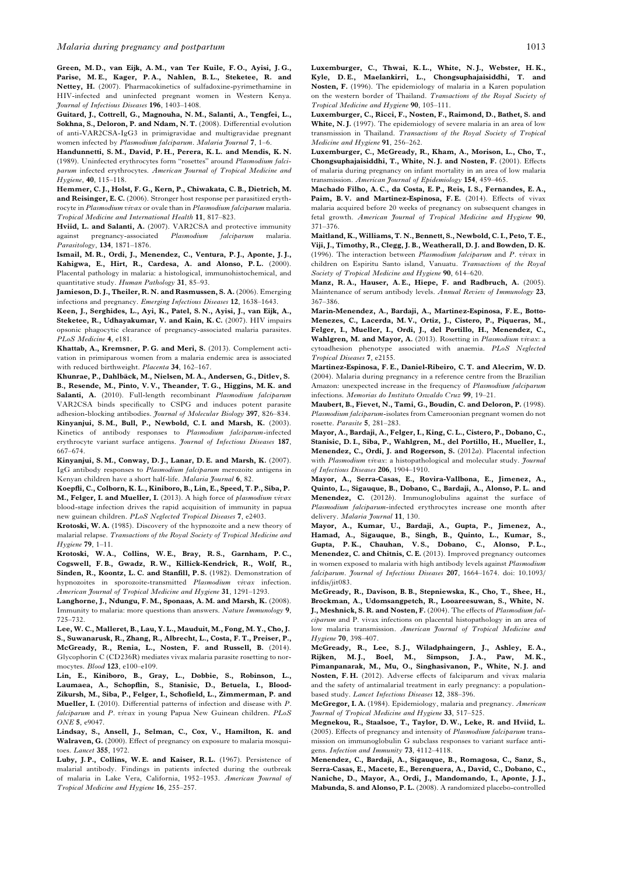<span id="page-14-0"></span>Green, M. D., van Eijk, A. M., van Ter Kuile, F. O., Ayisi, J. G., Parise, M. E., Kager, P. A., Nahlen, B. L., Steketee, R. and Nettey, H. (2007). Pharmacokinetics of sulfadoxine-pyrimethamine in HIV-infected and uninfected pregnant women in Western Kenya. Journal of Infectious Diseases 196, 1403–1408.

Guitard, J., Cottrell, G., Magnouha, N. M., Salanti, A., Tengfei, L., Sokhna, S., Deloron, P. and Ndam, N. T. (2008). Differential evolution of anti-VAR2CSA-IgG3 in primigravidae and multigravidae pregnant women infected by Plasmodium falciparum. Malaria Journal 7, 1–6.

Handunnetti, S. M., David, P. H., Perera, K. L. and Mendis, K. N. (1989). Uninfected erythrocytes form "rosettes" around Plasmodium falciparum infected erythrocytes. American Journal of Tropical Medicine and Hygiene, 40, 115–118.

Hemmer, C. J., Holst, F. G., Kern, P., Chiwakata, C. B., Dietrich, M. and Reisinger, E. C. (2006). Stronger host response per parasitized erythrocyte in Plasmodium vivax or ovale than in Plasmodium falciparum malaria. Tropical Medicine and International Health 11, 817–823.

Hviid, L. and Salanti, A. (2007). VAR2CSA and protective immunity against pregnancy-associated *Plasmodium falciparum* malaria. against pregnancy-associated Plasmodium falciparum malaria. Parasitology, 134, 1871–1876.

Ismail, M. R., Ordi, J., Menendez, C., Ventura, P. J., Aponte, J. J., Kahigwa, E., Hirt, R., Cardesa, A. and Alonso, P. L. (2000). Placental pathology in malaria: a histological, immunohistochemical, and quantitative study. Human Pathology 31, 85–93.

Jamieson, D. J., Theiler, R. N. and Rasmussen, S. A. (2006). Emerging infections and pregnancy. Emerging Infectious Diseases 12, 1638–1643.

Keen, J., Serghides, L., Ayi, K., Patel, S. N., Ayisi, J., van Eijk, A., Steketee, R., Udhayakumar, V. and Kain, K. C. (2007). HIV impairs opsonic phagocytic clearance of pregnancy-associated malaria parasites. PLoS Medicine 4, e181.

Khattab, A., Kremsner, P. G. and Meri, S. (2013). Complement activation in primiparous women from a malaria endemic area is associated with reduced birthweight. Placenta 34, 162-167.

Khunrae, P., Dahlbäck, M., Nielsen, M. A., Andersen, G., Ditlev, S. B., Resende, M., Pinto, V. V., Theander, T. G., Higgins, M. K. and Salanti, A. (2010). Full-length recombinant Plasmodium falciparum VAR2CSA binds specifically to CSPG and induces potent parasite adhesion-blocking antibodies. Journal of Molecular Biology 397, 826-834. Kinyanjui, S. M., Bull, P., Newbold, C. I. and Marsh, K. (2003). Kinetics of antibody responses to Plasmodium falciparum-infected erythrocyte variant surface antigens. Journal of Infectious Diseases 187, 667–674.

Kinyanjui, S. M., Conway, D. J., Lanar, D. E. and Marsh, K. (2007). IgG antibody responses to Plasmodium falciparum merozoite antigens in Kenyan children have a short half-life. Malaria Journal 6, 82.

Koepfli, C., Colborn, K. L., Kiniboro, B., Lin, E., Speed, T. P., Siba, P. M., Felger, I. and Mueller, I. (2013). A high force of plasmodium vivax blood-stage infection drives the rapid acquisition of immunity in papua new guinean children. PLoS Neglected Tropical Diseases 7, e2403.

Krotoski, W. A. (1985). Discovery of the hypnozoite and a new theory of malarial relapse. Transactions of the Royal Society of Tropical Medicine and Hygiene 79, 1–11.

Krotoski, W. A., Collins, W. E., Bray, R. S., Garnham, P. C., Cogswell, F. B., Gwadz, R. W., Killick-Kendrick, R., Wolf, R., Sinden, R., Koontz, L.C. and Stanfill, P.S. (1982). Demonstration of hypnozoites in sporozoite-transmitted Plasmodium vivax infection. American Journal of Tropical Medicine and Hygiene 31, 1291-1293.

Langhorne, J., Ndungu, F. M., Sponaas, A. M. and Marsh, K. (2008). Immunity to malaria: more questions than answers. Nature Immunology 9, 725–732.

Lee, W. C., Malleret, B., Lau, Y. L., Mauduit, M., Fong, M. Y., Cho, J. S., Suwanarusk, R., Zhang, R., Albrecht, L., Costa, F. T., Preiser, P., McGready, R., Renia, L., Nosten, F. and Russell, B. (2014). Glycophorin C (CD236R) mediates vivax malaria parasite rosetting to normocytes. Blood 123, e100–e109.

Lin, E., Kiniboro, B., Gray, L., Dobbie, S., Robinson, L., Laumaea, A., Schopflin, S., Stanisic, D., Betuela, I., Blood-Zikursh, M., Siba, P., Felger, I., Schofield, L., Zimmerman, P. and Mueller, L. (2010). Differential patterns of infection and disease with P. falciparum and P. vivax in young Papua New Guinean children. PLoS ONE 5, e9047.

Lindsay, S., Ansell, J., Selman, C., Cox, V., Hamilton, K. and Walraven, G. (2000). Effect of pregnancy on exposure to malaria mosquitoes. Lancet 355, 1972.

Luby, J.P., Collins, W.E. and Kaiser, R.L. (1967). Persistence of malarial antibody. Findings in patients infected during the outbreak of malaria in Lake Vera, California, 1952–1953. American Journal of Tropical Medicine and Hygiene 16, 255–257.

Luxemburger, C., Thwai, K. L., White, N. J., Webster, H. K., Kyle, D. E., Maelankirri, L., Chongsuphajaisiddhi, T. and Nosten, F. (1996). The epidemiology of malaria in a Karen population on the western border of Thailand. Transactions of the Royal Society of Tropical Medicine and Hygiene 90, 105–111.

Luxemburger, C., Ricci, F., Nosten, F., Raimond, D., Bathet, S. and White, N.J. (1997). The epidemiology of severe malaria in an area of low transmission in Thailand. Transactions of the Royal Society of Tropical Medicine and Hygiene 91, 256–262.

Luxemburger, C., McGready, R., Kham, A., Morison, L., Cho, T., Chongsuphajaisiddhi, T., White, N. J. and Nosten, F. (2001). Effects of malaria during pregnancy on infant mortality in an area of low malaria transmission. American Journal of Epidemiology 154, 459–465.

Machado Filho, A. C., da Costa, E. P., Reis, I. S., Fernandes, E. A., Paim, B. V. and Martinez-Espinosa, F. E. (2014). Effects of vivax malaria acquired before 20 weeks of pregnancy on subsequent changes in fetal growth. American Journal of Tropical Medicine and Hygiene 90, 371–376.

Maitland, K., Williams, T. N., Bennett, S., Newbold, C. I., Peto, T. E., Viji, J., Timothy, R., Clegg, J. B., Weatherall, D. J. and Bowden, D. K. (1996). The interaction between Plasmodium falciparum and P. vivax in children on Espiritu Santo island, Vanuatu. Transactions of the Royal Society of Tropical Medicine and Hygiene 90, 614–620.

Manz, R. A., Hauser, A. E., Hiepe, F. and Radbruch, A. (2005). Maintenance of serum antibody levels. Annual Review of Immunology 23, 367–386.

Marin-Menendez, A., Bardaji, A., Martinez-Espinosa, F. E., Botto-Menezes, C., Lacerda, M. V., Ortiz, J., Cistero, P., Piqueras, M., Felger, I., Mueller, I., Ordi, J., del Portillo, H., Menendez, C., Wahlgren, M. and Mayor, A. (2013). Rosetting in Plasmodium vivax: a cytoadhesion phenotype associated with anaemia. PLoS Neglected Tropical Diseases 7, e2155.

Martinez-Espinosa, F. E., Daniel-Ribeiro, C. T. and Alecrim, W. D. (2004). Malaria during pregnancy in a reference centre from the Brazilian Amazon: unexpected increase in the frequency of *Plasmodium falciparum* infections. Memorias do Instituto Oswaldo Cruz 99, 19–21.

Maubert, B., Fievet, N., Tami, G., Boudin, C. and Deloron, P. (1998). Plasmodium falciparum-isolates from Cameroonian pregnant women do not rosette. Parasite 5, 281–283.

Mayor, A., Bardaji, A., Felger, I., King, C. L., Cistero, P., Dobano, C., Stanisic, D. I., Siba, P., Wahlgren, M., del Portillo, H., Mueller, I., Menendez, C., Ordi, J. and Rogerson, S. (2012a). Placental infection with Plasmodium vivax: a histopathological and molecular study. Journal of Infectious Diseases 206, 1904–1910.

Mayor, A., Serra-Casas, E., Rovira-Vallbona, E., Jimenez, A., Quinto, L., Sigauque, B., Dobano, C., Bardaji, A., Alonso, P. L. and Menendez, C. (2012b). Immunoglobulins against the surface of Plasmodium falciparum-infected erythrocytes increase one month after delivery. Malaria Journal 11, 130.

Mayor, A., Kumar, U., Bardaji, A., Gupta, P., Jimenez, A., Hamad, A., Sigauque, B., Singh, B., Quinto, L., Kumar, S., Gupta, P. K., Chauhan, V. S., Dobano, C., Alonso, P. L., Menendez, C. and Chitnis, C. E. (2013). Improved pregnancy outcomes in women exposed to malaria with high antibody levels against Plasmodium falciparum. Journal of Infectious Diseases 207, 1664–1674. doi: 10.1093/ infdis/jit083.

McGready, R., Davison, B. B., Stepniewska, K., Cho, T., Shee, H., Brockman, A., Udomsangpetch, R., Looareesuwan, S., White, N. J., Meshnick, S. R. and Nosten, F. (2004). The effects of Plasmodium falciparum and P. vivax infections on placental histopathology in an area of low malaria transmission. American Journal of Tropical Medicine and Hygiene 70, 398–407.

McGready, R., Lee, S. J., Wiladphaingern, J., Ashley, E. A., Rijken, M.J., Boel, M., Simpson, J.A., Paw, M.K., Pimanpanarak, M., Mu, O., Singhasivanon, P., White, N. J. and Nosten, F. H. (2012). Adverse effects of falciparum and vivax malaria and the safety of antimalarial treatment in early pregnancy: a populationbased study. Lancet Infectious Diseases 12, 388–396.

McGregor, I. A. (1984). Epidemiology, malaria and pregnancy. American Journal of Tropical Medicine and Hygiene 33, 517–525.

Megnekou, R., Staalsoe, T., Taylor, D. W., Leke, R. and Hviid, L. (2005). Effects of pregnancy and intensity of Plasmodium falciparum transmission on immunoglobulin G subclass responses to variant surface antigens. Infection and Immunity 73, 4112–4118.

Menendez, C., Bardaji, A., Sigauque, B., Romagosa, C., Sanz, S., Serra-Casas, E., Macete, E., Berenguera, A., David, C., Dobano, C., Naniche, D., Mayor, A., Ordi, J., Mandomando, I., Aponte, J. J., Mabunda, S. and Alonso, P. L. (2008). A randomized placebo-controlled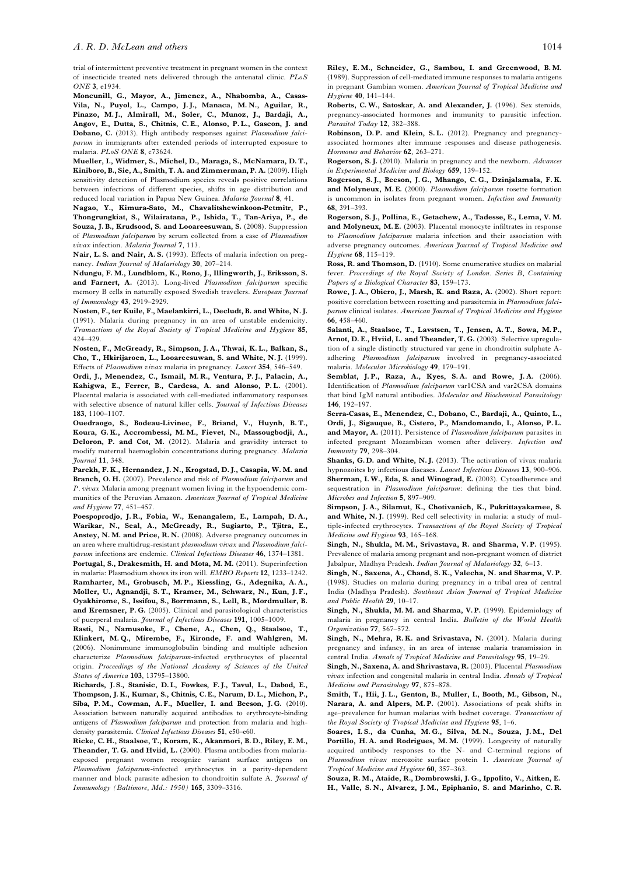<span id="page-15-0"></span>trial of intermittent preventive treatment in pregnant women in the context of insecticide treated nets delivered through the antenatal clinic. PLoS ONE 3, e1934.

Moncunill, G., Mayor, A., Jimenez, A., Nhabomba, A., Casas-Vila, N., Puyol, L., Campo, J. J., Manaca, M. N., Aguilar, R., Pinazo, M. J., Almirall, M., Soler, C., Munoz, J., Bardaji, A., Angov, E., Dutta, S., Chitnis, C. E., Alonso, P. L., Gascon, J. and Dobano, C. (2013). High antibody responses against Plasmodium falciparum in immigrants after extended periods of interrupted exposure to malaria. PLoS ONE 8, e73624.

Mueller, I., Widmer, S., Michel, D., Maraga, S., McNamara, D. T., Kiniboro, B., Sie, A., Smith, T. A. and Zimmerman, P. A. (2009). High sensitivity detection of Plasmodium species reveals positive correlations between infections of different species, shifts in age distribution and reduced local variation in Papua New Guinea. Malaria Journal 8, 41.

Nagao, Y., Kimura-Sato, M., Chavalitshewinkoon-Petmitr, P., Thongrungkiat, S., Wilairatana, P., Ishida, T., Tan-Ariya, P., de Souza, J. B., Krudsood, S. and Looareesuwan, S. (2008). Suppression of Plasmodium falciparum by serum collected from a case of Plasmodium vivax infection. Malaria Journal 7, 113.

Nair, L. S. and Nair, A. S. (1993). Effects of malaria infection on pregnancy. Indian Journal of Malariology 30, 207-214.

Ndungu, F. M., Lundblom, K., Rono, J., Illingworth, J., Eriksson, S. and Farnert, A. (2013). Long-lived Plasmodium falciparum specific memory B cells in naturally exposed Swedish travelers. European Journal of Immunology 43, 2919–2929.

Nosten, F., ter Kuile, F., Maelankirri, L., Decludt, B. and White, N. J. (1991). Malaria during pregnancy in an area of unstable endemicity. Transactions of the Royal Society of Tropical Medicine and Hygiene 85, 424–429.

Nosten, F., McGready, R., Simpson, J. A., Thwai, K. L., Balkan, S., Cho, T., Hkirijaroen, L., Looareesuwan, S. and White, N. J. (1999). Effects of Plasmodium vivax malaria in pregnancy. Lancet 354, 546–549.

Ordi, J., Menendez, C., Ismail, M. R., Ventura, P. J., Palacin, A., Kahigwa, E., Ferrer, B., Cardesa, A. and Alonso, P. L. (2001). Placental malaria is associated with cell-mediated inflammatory responses with selective absence of natural killer cells. Journal of Infectious Diseases 183, 1100–1107.

Ouedraogo, S., Bodeau-Livinec, F., Briand, V., Huynh, B. T., Koura, G. K., Accrombessi, M. M., Fievet, N., Massougbodji, A., Deloron, P. and Cot, M. (2012). Malaria and gravidity interact to modify maternal haemoglobin concentrations during pregnancy. Malaria Journal 11, 348.

Parekh, F. K., Hernandez, J. N., Krogstad, D. J., Casapia, W. M. and Branch, O.H. (2007). Prevalence and risk of *Plasmodium falciparum* and P. vivax Malaria among pregnant women living in the hypoendemic communities of the Peruvian Amazon. American Journal of Tropical Medicine and Hygiene 77, 451–457.

Poespoprodjo, J. R., Fobia, W., Kenangalem, E., Lampah, D. A., Warikar, N., Seal, A., McGready, R., Sugiarto, P., Tjitra, E., Anstey, N. M. and Price, R. N. (2008). Adverse pregnancy outcomes in an area where multidrug-resistant plasmodium vivax and Plasmodium falci-

parum infections are endemic. Clinical Infectious Diseases 46, 1374–1381. Portugal, S., Drakesmith, H. and Mota, M. M. (2011). Superinfection in malaria: Plasmodium shows its iron will. *EMBO Reports* 12, 1233-1242. Ramharter, M., Grobusch, M. P., Kiessling, G., Adegnika, A. A., Moller, U., Agnandji, S. T., Kramer, M., Schwarz, N., Kun, J. F., Oyakhirome, S., Issifou, S., Borrmann, S., Lell, B., Mordmuller, B. and Kremsner, P. G. (2005). Clinical and parasitological characteristics of puerperal malaria. Journal of Infectious Diseases 191, 1005–1009.

Rasti, N., Namusoke, F., Chene, A., Chen, Q., Staalsoe, T., Klinkert, M. Q., Mirembe, F., Kironde, F. and Wahlgren, M. (2006). Nonimmune immunoglobulin binding and multiple adhesion characterize Plasmodium falciparum-infected erythrocytes of placental origin. Proceedings of the National Academy of Sciences of the United States of America 103, 13795–13800.

Richards, J. S., Stanisic, D. I., Fowkes, F. J., Tavul, L., Dabod, E., Thompson, J. K., Kumar, S., Chitnis, C. E., Narum, D. L., Michon, P., Siba, P. M., Cowman, A. F., Mueller, L. and Beeson, L. G. (2010). Association between naturally acquired antibodies to erythrocyte-binding antigens of Plasmodium falciparum and protection from malaria and highdensity parasitemia. Clinical Infectious Diseases 51, e50–e60.

Ricke, C. H., Staalsoe, T., Koram, K., Akanmori, B. D., Riley, E. M., Theander, T. G. and Hviid, L. (2000). Plasma antibodies from malariaexposed pregnant women recognize variant surface antigens on Plasmodium falciparum-infected erythrocytes in a parity-dependent manner and block parasite adhesion to chondroitin sulfate A. *Fournal of* Immunology (Baltimore, Md.: 1950) 165, 3309–3316.

Riley, E. M., Schneider, G., Sambou, I. and Greenwood, B. M. (1989). Suppression of cell-mediated immune responses to malaria antigens in pregnant Gambian women. American Journal of Tropical Medicine and Hygiene 40, 141–144.

Roberts, C. W., Satoskar, A. and Alexander, J. (1996). Sex steroids, pregnancy-associated hormones and immunity to parasitic infection. Parasitol Today 12, 382–388.

Robinson, D.P. and Klein, S.L. (2012). Pregnancy and pregnancyassociated hormones alter immune responses and disease pathogenesis. Hormones and Behavior 62, 263–271.

Rogerson, S. J. (2010). Malaria in pregnancy and the newborn. Advances in Experimental Medicine and Biology 659, 139–152.

Rogerson, S. J., Beeson, J. G., Mhango, C. G., Dzinjalamala, F. K. and Molyneux, M. E. (2000). Plasmodium falciparum rosette formation is uncommon in isolates from pregnant women. Infection and Immunity 68, 391–393.

Rogerson, S. J., Pollina, E., Getachew, A., Tadesse, E., Lema, V. M. and Molyneux, M. E. (2003). Placental monocyte infiltrates in response to Plasmodium falciparum malaria infection and their association with adverse pregnancy outcomes. American Journal of Tropical Medicine and Hygiene 68, 115–119.

Ross, R. and Thomson, D. (1910). Some enumerative studies on malarial fever. Proceedings of the Royal Society of London. Series B, Containing Papers of a Biological Character 83, 159-173.

Rowe, J. A., Obiero, J., Marsh, K. and Raza, A. (2002). Short report: positive correlation between rosetting and parasitemia in Plasmodium falciparum clinical isolates. American Journal of Tropical Medicine and Hygiene 66, 458–460.

Salanti, A., Staalsoe, T., Lavstsen, T., Jensen, A. T., Sowa, M. P., Arnot, D. E., Hviid, L. and Theander, T. G. (2003). Selective upregulation of a single distinctly structured var gene in chondroitin sulphate Aadhering Plasmodium falciparum involved in pregnancy-associated malaria. Molecular Microbiology 49, 179–191.

Semblat, J.P., Raza, A., Kyes, S.A. and Rowe, J.A. (2006). Identification of Plasmodium falciparum var1CSA and var2CSA domains that bind IgM natural antibodies. Molecular and Biochemical Parasitology 146, 192–197.

Serra-Casas, E., Menendez, C., Dobano, C., Bardaji, A., Quinto, L., Ordi, J., Sigauque, B., Cistero, P., Mandomando, I., Alonso, P. L. and Mayor, A. (2011). Persistence of Plasmodium falciparum parasites in infected pregnant Mozambican women after delivery. Infection and Immunity 79, 298–304.

Shanks, G.D. and White, N.J. (2013). The activation of vivax malaria hypnozoites by infectious diseases. Lancet Infectious Diseases 13, 900–906. Sherman, I. W., Eda, S. and Winograd, E. (2003). Cytoadherence and sequestration in Plasmodium falciparum: defining the ties that bind. Microbes and Infection 5, 897–909.

Simpson, J. A., Silamut, K., Chotivanich, K., Pukrittayakamee, S. and White, N. J. (1999). Red cell selectivity in malaria: a study of multiple-infected erythrocytes. Transactions of the Royal Society of Tropical Medicine and Hygiene 93, 165–168.

Singh, N., Shukla, M. M., Srivastava, R. and Sharma, V. P. (1995). Prevalence of malaria among pregnant and non-pregnant women of district Jabalpur, Madhya Pradesh. Indian Journal of Malariology 32, 6–13.

Singh, N., Saxena, A., Chand, S. K., Valecha, N. and Sharma, V. P. (1998). Studies on malaria during pregnancy in a tribal area of central India (Madhya Pradesh). Southeast Asian Journal of Tropical Medicine and Public Health 29, 10–17.

Singh, N., Shukla, M. M. and Sharma, V. P. (1999). Epidemiology of malaria in pregnancy in central India. Bulletin of the World Health Organization 77, 567–572.

Singh, N., Mehra, R. K. and Srivastava, N. (2001). Malaria during pregnancy and infancy, in an area of intense malaria transmission in central India. Annals of Tropical Medicine and Parasitology 95, 19–29.

Singh, N., Saxena, A. and Shrivastava, R. (2003). Placental Plasmodium vivax infection and congenital malaria in central India. Annals of Tropical Medicine and Parasitology 97, 875–878.

Smith, T., Hii, J. L., Genton, B., Muller, I., Booth, M., Gibson, N., Narara, A. and Alpers, M. P. (2001). Associations of peak shifts in age–prevalence for human malarias with bednet coverage. Transactions of the Royal Society of Tropical Medicine and Hygiene 95, 1–6.

Soares, I. S., da Cunha, M. G., Silva, M. N., Souza, J. M., Del Portillo, H. A. and Rodrigues, M. M. (1999). Longevity of naturally acquired antibody responses to the N- and C-terminal regions of Plasmodium vivax merozoite surface protein 1. American Journal of Tropical Medicine and Hygiene 60, 357–363.

Souza, R. M., Ataide, R., Dombrowski, J. G., Ippolito, V., Aitken, E. H., Valle, S. N., Alvarez, J. M., Epiphanio, S. and Marinho, C. R.